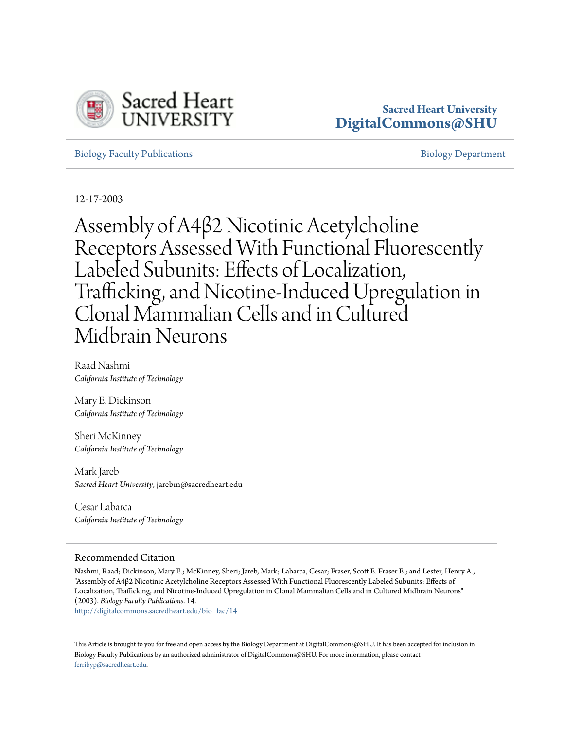

## **Sacred Heart University [DigitalCommons@SHU](http://digitalcommons.sacredheart.edu?utm_source=digitalcommons.sacredheart.edu%2Fbio_fac%2F14&utm_medium=PDF&utm_campaign=PDFCoverPages)**

[Biology Faculty Publications](http://digitalcommons.sacredheart.edu/bio_fac?utm_source=digitalcommons.sacredheart.edu%2Fbio_fac%2F14&utm_medium=PDF&utm_campaign=PDFCoverPages) and the control of the [Biology Department](http://digitalcommons.sacredheart.edu/bio?utm_source=digitalcommons.sacredheart.edu%2Fbio_fac%2F14&utm_medium=PDF&utm_campaign=PDFCoverPages) Biology Department

12-17-2003

Assembly of Α4β2 Nicotinic Acetylcholine Receptors Assessed With Functional Fluorescently Labeled Subunits: Effects of Localization, Trafficking, and Nicotine-Induced Upregulation in Clonal Mammalian Cells and in Cultured Midbrain Neurons

Raad Nashmi *California Institute of Technology*

Mary E. Dickinson *California Institute of Technology*

Sheri McKinney *California Institute of Technology*

Mark Jareb *Sacred Heart University*, jarebm@sacredheart.edu

Cesar Labarca *California Institute of Technology*

## Recommended Citation

Nashmi, Raad; Dickinson, Mary E.; McKinney, Sheri; Jareb, Mark; Labarca, Cesar; Fraser, Scott E. Fraser E.; and Lester, Henry A., "Assembly of Α4β2 Nicotinic Acetylcholine Receptors Assessed With Functional Fluorescently Labeled Subunits: Effects of Localization, Trafficking, and Nicotine-Induced Upregulation in Clonal Mammalian Cells and in Cultured Midbrain Neurons" (2003). *Biology Faculty Publications*. 14.

[http://digitalcommons.sacredheart.edu/bio\\_fac/14](http://digitalcommons.sacredheart.edu/bio_fac/14?utm_source=digitalcommons.sacredheart.edu%2Fbio_fac%2F14&utm_medium=PDF&utm_campaign=PDFCoverPages)

This Article is brought to you for free and open access by the Biology Department at DigitalCommons@SHU. It has been accepted for inclusion in Biology Faculty Publications by an authorized administrator of DigitalCommons@SHU. For more information, please contact [ferribyp@sacredheart.edu](mailto:ferribyp@sacredheart.edu).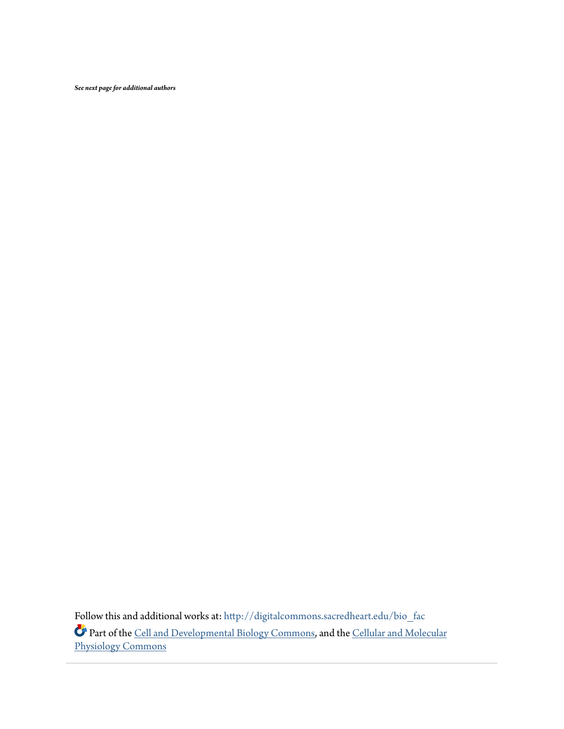*See next page for additional authors*

Follow this and additional works at: [http://digitalcommons.sacredheart.edu/bio\\_fac](http://digitalcommons.sacredheart.edu/bio_fac?utm_source=digitalcommons.sacredheart.edu%2Fbio_fac%2F14&utm_medium=PDF&utm_campaign=PDFCoverPages) Part of the [Cell and Developmental Biology Commons,](https://network.bepress.com/hgg/discipline/8?utm_source=digitalcommons.sacredheart.edu%2Fbio_fac%2F14&utm_medium=PDF&utm_campaign=PDFCoverPages) and the [Cellular and Molecular](https://network.bepress.com/hgg/discipline/70?utm_source=digitalcommons.sacredheart.edu%2Fbio_fac%2F14&utm_medium=PDF&utm_campaign=PDFCoverPages) [Physiology Commons](https://network.bepress.com/hgg/discipline/70?utm_source=digitalcommons.sacredheart.edu%2Fbio_fac%2F14&utm_medium=PDF&utm_campaign=PDFCoverPages)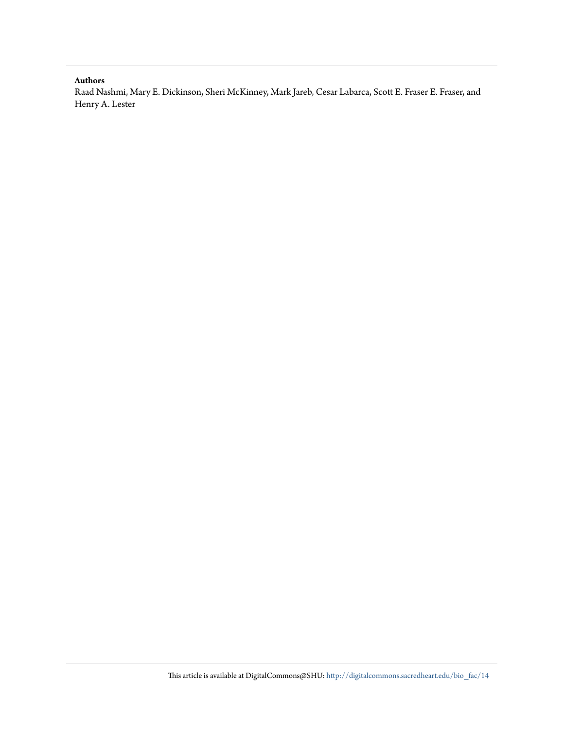### **Authors**

Raad Nashmi, Mary E. Dickinson, Sheri McKinney, Mark Jareb, Cesar Labarca, Scott E. Fraser E. Fraser, and Henry A. Lester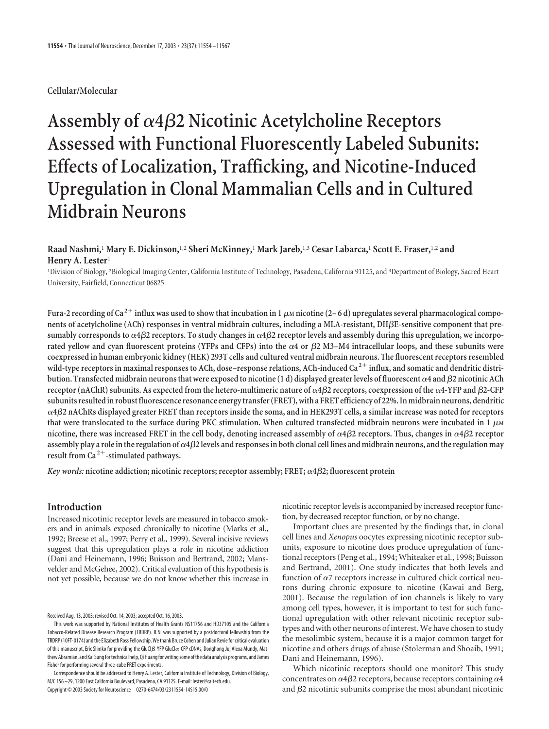## **Cellular/Molecular**

# Assembly of  $\alpha$ 4 $\beta$ 2 Nicotinic Acetylcholine Receptors **Assessed with Functional Fluorescently Labeled Subunits: Effects of Localization, Trafficking, and Nicotine-Induced Upregulation in Clonal Mammalian Cells and in Cultured Midbrain Neurons**

## **Raad Nashmi,**<sup>1</sup> **Mary E. Dickinson,**1,2 **Sheri McKinney,**<sup>1</sup> **Mark Jareb,**1,3 **Cesar Labarca,**<sup>1</sup> **Scott E. Fraser,**1,2 **and Henry A. Lester**<sup>1</sup>

<sup>1</sup>Division of Biology, <sup>2</sup>Biological Imaging Center, California Institute of Technology, Pasadena, California 91125, and <sup>3</sup>Department of Biology, Sacred Heart University, Fairfield, Connecticut 06825

Fura-2 recording of Ca<sup>2+</sup> influx was used to show that incubation in 1  $\mu$ m nicotine (2–6 d) upregulates several pharmacological components of acetylcholine (ACh) responses in ventral midbrain cultures, including a MLA-resistant, DH*β*E-sensitive component that presumably corresponds to  $\alpha$ 4 $\beta$ 2 receptors. To study changes in  $\alpha$ 4 $\beta$ 2 receptor levels and assembly during this upregulation, we incorporated yellow and cyan fluorescent proteins (YFPs and CFPs) into the  $\alpha$ 4 or  $\beta$ 2 M3–M4 intracellular loops, and these subunits were **coexpressed in human embryonic kidney (HEK) 293T cells and cultured ventral midbrain neurons. The fluorescent receptors resembled wild-type receptors in maximal responses to ACh, dose–response relations, ACh-induced Ca <sup>2</sup> influx, and somatic and dendritic distri**bution. Transfected midbrain neurons that were exposed to nicotine (1 d) displayed greater levels of fluorescent  $\alpha$ 4 and  $\beta$ 2 nicotinic ACh  $r$  receptor (nAChR) subunits. As expected from the hetero-multimeric nature of  $\alpha$ 4 $\beta$ 2 receptors, coexpression of the  $\alpha$ 4-YFP and  $\beta$ 2-CFP **subunits resulted in robust fluorescence resonance energy transfer (FRET), with a FRET efficiency of 22%. In midbrain neurons, dendritic 4**-**2 nAChRs displayed greater FRET than receptors inside the soma, and in HEK293T cells, a similar increase was noted for receptors** that were translocated to the surface during PKC stimulation. When cultured transfected midbrain neurons were incubated in  $1 \mu M$ nicotine, there was increased FRET in the cell body, denoting increased assembly of  $\alpha$ 4 $\beta$ 2 receptors. Thus, changes in  $\alpha$ 4 $\beta$ 2 receptor assembly play a role in the regulation of  $\alpha$ 4 $\beta$ 2 levels and responses in both clonal cell lines and midbrain neurons, and the regulation may **result from Ca <sup>2</sup>-stimulated pathways.**

*Key words:* **nicotine addiction; nicotinic receptors; receptor assembly; FRET; 4**-**2; fluorescent protein**

## **Introduction**

Increased nicotinic receptor levels are measured in tobacco smokers and in animals exposed chronically to nicotine (Marks et al., 1992; Breese et al., 1997; Perry et al., 1999). Several incisive reviews suggest that this upregulation plays a role in nicotine addiction (Dani and Heinemann, 1996; Buisson and Bertrand, 2002; Mansvelder and McGehee, 2002). Critical evaluation of this hypothesis is not yet possible, because we do not know whether this increase in

Correspondence should be addressed to Henry A. Lester, California Institute of Technology, Division of Biology, M/C 156 –29, 1200 East California Boulevard, Pasadena, CA 91125. E-mail: lester@caltech.edu. Copyright © 2003 Society for Neuroscience 0270-6474/03/2311554-14\$15.00/0

nicotinic receptor levels is accompanied by increased receptor function, by decreased receptor function, or by no change.

Important clues are presented by the findings that, in clonal cell lines and *Xenopus* oocytes expressing nicotinic receptor subunits, exposure to nicotine does produce upregulation of functional receptors (Peng et al., 1994; Whiteaker et al., 1998; Buisson and Bertrand, 2001). One study indicates that both levels and function of  $\alpha$ 7 receptors increase in cultured chick cortical neurons during chronic exposure to nicotine (Kawai and Berg, 2001). Because the regulation of ion channels is likely to vary among cell types, however, it is important to test for such functional upregulation with other relevant nicotinic receptor subtypes and with other neurons of interest. We have chosen to study the mesolimbic system, because it is a major common target for nicotine and others drugs of abuse (Stolerman and Shoaib, 1991; Dani and Heinemann, 1996).

Which nicotinic receptors should one monitor? This study concentrates on  $\alpha$ 4 $\beta$ 2 receptors, because receptors containing  $\alpha$ 4 and  $\beta$ 2 nicotinic subunits comprise the most abundant nicotinic

Received Aug. 13, 2003; revised Oct. 14, 2003; accepted Oct. 16, 2003.

This work was supported by National Institutes of Health Grants NS11756 and HD37105 and the California Tobacco-Related Disease Research Program (TRDRP). R.N. was supported by a postdoctoral fellowship from the TRDRP (10FT-0174) and the Elizabeth Ross Fellowship. We thank Bruce Cohen and Julian Revie for critical evaluation of this manuscript, Eric Slimko for providing the GluCl $\beta$ -YFP GluCl $\alpha$ -CFP cDNAs, Donghong Ju, Alexa Mundy, Matthew Abramian, and Kai Sung for technical help, Qi Huang for writing some of the data analysis programs, and James Fisher for performing several three-cube FRET experiments.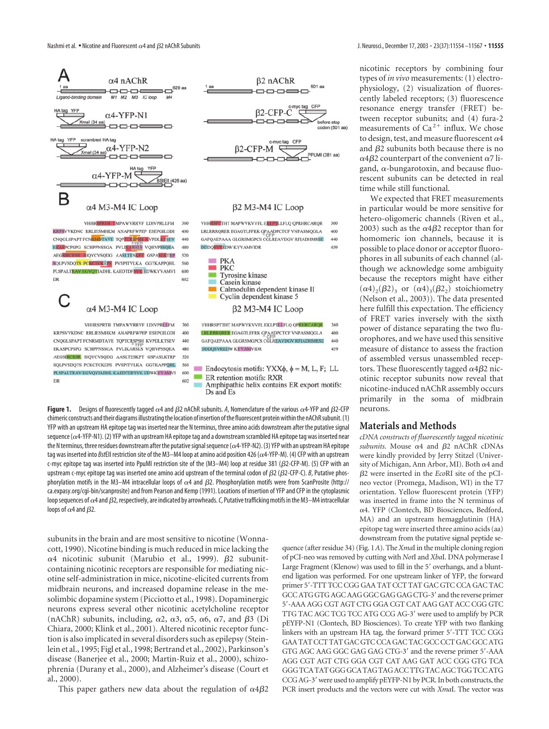

520 SOLPVSDOTS PCKCTCKEPS PVSPITVLKA GGTKAPPOHL 560 PLSPALTRAV EGVOYIADHL KAEDTDFSVK EDWKYVAMVI 600 602

DR



**Figure 1.** Designs of fluorescently tagged  $\alpha$ 4 and  $\beta$ 2 nAChR subunits. A, Nomenclature of the various  $\alpha$ 4-YFP and  $\beta$ 2-CFP chimeric constructs and their diagrams illustrating the location of insertion of the fluorescent protein within the nAChR subunit. (1) YFP with an upstream HA epitope tag was inserted near the N terminus, three amino acids downstream after the putative signal sequence ( $\alpha$ 4-YFP-N1). (2) YFP with an upstream HA epitope tag and a downstream scrambled HA epitope tag was inserted near the N terminus, three residues downstream after the putative signal sequence ( $\alpha$ 4-YFP-N2). (3) YFP with an upstream HA epitope tag was inserted into *Bst*EII restriction site of the M3–M4 loop at amino acid position 426 ( $\alpha$ 4-YFP-M). (4) CFP with an upstream c-myc epitope tag was inserted into PpuMI restriction site of the (M3–M4) loop at residue 381 ( $\beta$ 2-CFP-M). (5) CFP with an upstream c-myc epitope tag was inserted one amino acid upstream of the terminal codon of  $\beta$ 2 ( $\beta$ 2-CFP-C). *B*, Putative phosphorylation motifs in the M3–M4 intracellular loops of  $\alpha$ 4 and  $\beta$ 2. Phosphorylation motifs were from ScanProsite (http:// ca.expasy.org/cgi-bin/scanprosite) and from Pearson and Kemp (1991). Locations of insertion of YFP and CFP in the cytoplasmic loop sequences of  $\alpha$ 4 and  $\beta$ 2, respectively, are indicated by arrowheads.  $\emph{C}$ , Putative trafficking motifs in the M3–M4 intracellular loops of  $\alpha$ 4 and  $\beta$ 2.

subunits in the brain and are most sensitive to nicotine (Wonnacott, 1990). Nicotine binding is much reduced in mice lacking the  $\alpha$ 4 nicotinic subunit (Marubio et al., 1999).  $\beta$ 2 subunitcontaining nicotinic receptors are responsible for mediating nicotine self-administration in mice, nicotine-elicited currents from midbrain neurons, and increased dopamine release in the mesolimbic dopamine system (Picciotto et al., 1998). Dopaminergic neurons express several other nicotinic acetylcholine receptor (nAChR) subunits, including,  $\alpha$ 2,  $\alpha$ 3,  $\alpha$ 5,  $\alpha$ 6,  $\alpha$ 7, and  $\beta$ 3 (Di Chiara, 2000; Klink et al., 2001). Altered nicotinic receptor function is also implicated in several disorders such as epilepsy (Steinlein et al., 1995; Figl et al., 1998; Bertrand et al., 2002), Parkinson's disease (Banerjee et al., 2000; Martin-Ruiz et al., 2000), schizophrenia (Durany et al., 2000), and Alzheimer's disease (Court et al., 2000).

This paper gathers new data about the regulation of  $\alpha 4\beta 2$ 

nicotinic receptors by combining four types of *in vivo* measurements: (1) electrophysiology, (2) visualization of fluorescently labeled receptors; (3) fluorescence resonance energy transfer (FRET) between receptor subunits; and (4) fura-2 measurements of  $Ca^{2+}$  influx. We chose to design, test, and measure fluorescent  $\alpha$ 4 and  $\beta$ 2 subunits both because there is no  $\alpha$ 4 $\beta$ 2 counterpart of the convenient  $\alpha$ 7 ligand,  $\alpha$ -bungarotoxin, and because fluorescent subunits can be detected in real time while still functional.

We expected that FRET measurements in particular would be more sensitive for hetero-oligomeric channels (Riven et al., 2003) such as the  $\alpha$ 4 $\beta$ 2 receptor than for homomeric ion channels, because it is possible to place donor or acceptor fluorophores in all subunits of each channel (although we acknowledge some ambiguity because the receptors might have either  $(\alpha 4)_2(\beta 2)_3$  or  $(\alpha 4)_3(\beta 2_2)$  stoichiometry (Nelson et al., 2003)). The data presented here fulfill this expectation. The efficiency of FRET varies inversely with the sixth power of distance separating the two fluorophores, and we have used this sensitive measure of distance to assess the fraction of assembled versus unassembled receptors. These fluorescently tagged  $\alpha$ 4 $\beta$ 2 nicotinic receptor subunits now reveal that nicotine-induced nAChR assembly occurs primarily in the soma of midbrain neurons.

#### **Materials and Methods**

*cDNA constructs of fluorescently tagged nicotinic*  $subunits$ . Mouse  $\alpha$ 4 and  $\beta$ 2 nAChR cDNAs were kindly provided by Jerry Stitzel (University of Michigan, Ann Arbor, MI). Both  $\alpha$ 4 and -2 were inserted in the *Eco*RI site of the pCIneo vector (Promega, Madison, WI) in the T7 orientation. Yellow fluorescent protein (YFP) was inserted in frame into the N terminus of 4. YFP (Clontech, BD Biosciences, Bedford, MA) and an upstream hemagglutinin (HA) epitope tag were inserted three amino acids(aa) downstream from the putative signal peptide se-

quence (after residue 34) (Fig. 1*A*). The*Xma*I in the multiple cloning region of pCI-neo was removed by cutting with *Not*I and *Xba*I. DNA polymerase I Large Fragment (Klenow) was used to fill in the 5' overhangs, and a bluntend ligation was performed. For one upstream linker of YFP, the forward primer 5--TTT TCC CGG GAA TAT CCT TAT GAC GTC CCA GAC TAC GCC ATG GTG AGC AAG GGC GAG GAG CTG-3' and the reverse primer 5--AAA AGG CGT AGT CTG GGA CGT CAT AAG GAT ACC CGG GTC TTG TAC AGC TCG TCC ATG CCG AG-3' were used to amplify by PCR pEYFP-N1 (Clontech, BD Biosciences). To create YFP with two flanking linkers with an upstream HA tag, the forward primer 5'-TTT TCC CGG GAA TAT CCT TAT GAC GTC CCA GAC TAC GCC CCT GAC GCC ATG GTG AGC AAG GGC GAG GAG CTG-3' and the reverse primer 5'-AAA AGG CGT AGT CTG GGA CGT CAT AAG GAT ACC CGG GTG TCA GGG TCA TAT GGG GCA TAG TAG ACC TTG TAC AGC TGG TCC ATG CCG AG-3' were used to amplify pEYFP-N1 by PCR. In both constructs, the PCR insert products and the vectors were cut with *Xma*I. The vector was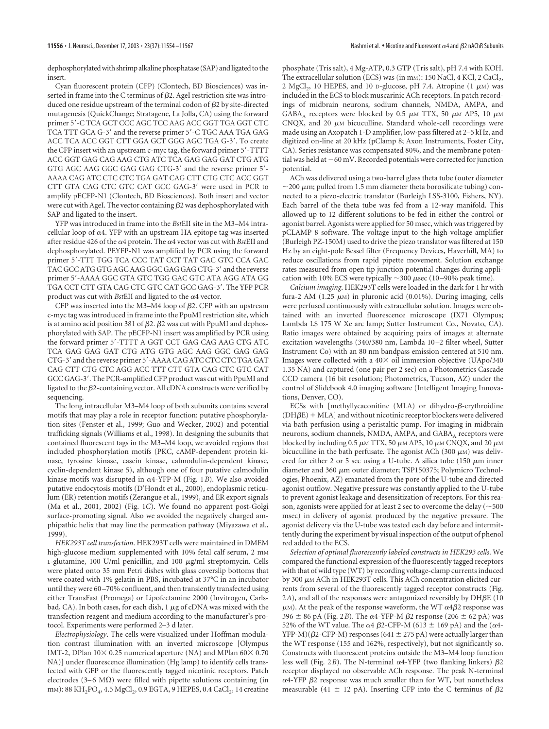dephosphorylated with shrimp alkaline phosphatase (SAP) and ligated to the insert.

Cyan fluorescent protein (CFP) (Clontech, BD Biosciences) was inserted in frame into the C terminus of  $\beta$ 2. AgeI restriction site was introduced one residue upstream of the terminal codon of  $\beta$ 2 by site-directed mutagenesis (QuickChange; Stratagene, La Jolla, CA) using the forward primer 5--C TCA GCT CCC AGC TCC AAG ACC GGT TGA GGT CTC TCA TTT GCA G-3' and the reverse primer 5'-C TGC AAA TGA GAG ACC TCA ACC GGT CTT GGA GCT GGG AGC TGA G-3'. To create the CFP insert with an upstream c-myc tag, the forward primer 5'-TTTT ACC GGT GAG CAG AAG CTG ATC TCA GAG GAG GAT CTG ATG GTG AGC AAG GGC GAG GAG CTG-3' and the reverse primer 5'-AAAA CAG ATC CTC CTC TGA GAT CAG CTT CTG CTC ACC GGT CTT GTA CAG CTC GTC CAT GCC GAG-3' were used in PCR to amplify pECFP-N1 (Clontech, BD Biosciences). Both insert and vector were cut with AgeI. The vector containing  $\beta$ 2 was dephosphorylated with SAP and ligated to the insert.

YFP was introduced in frame into the *Bst*EII site in the M3–M4 intracellular loop of  $\alpha$ 4. YFP with an upstream HA epitope tag was inserted after residue 426 of the  $\alpha$ 4 protein. The  $\alpha$ 4 vector was cut with *Bst*EII and dephosphorylated. PEYFP-N1 was amplified by PCR using the forward primer 5--TTT TGG TCA CCC TAT CCT TAT GAC GTC CCA GAC TAC GCC ATG GTG AGC AAG GGC GAG GAG CTG-3' and the reverse primer 5--AAAA GGC GTA GTC TGG GAC GTC ATA AGG ATA GG TGA CCT CTT GTA CAG CTC GTC CAT GCC GAG-3'. The YFP PCR product was cut with  $BstEII$  and ligated to the  $\alpha$ 4 vector.

CFP was inserted into the M3–M4 loop of  $\beta$ 2. CFP with an upstream c-myc tag was introduced in frame into the PpuMI restriction site, which is at amino acid position 381 of  $\beta$ 2.  $\beta$ 2 was cut with PpuMI and dephosphorylated with SAP. The pECFP-N1 insert was amplified by PCR using the forward primer 5'-TTTT A GGT CCT GAG CAG AAG CTG ATC TCA GAG GAG GAT CTG ATG GTG AGC AAG GGC GAG GAG CTG-3' and the reverse primer 5'-AAAA CAG ATC CTC CTC TGA GAT CAG CTT CTG CTC AGG ACC TTT CTT GTA CAG CTC GTC CAT GCC GAG-3'. The PCR-amplified CFP product was cut with PpuMI and ligated to the  $\beta$ 2-containing vector. All cDNA constructs were verified by sequencing.

The long intracellular M3–M4 loop of both subunits contains several motifs that may play a role in receptor function: putative phosphorylation sites (Fenster et al., 1999; Guo and Wecker, 2002) and potential trafficking signals (Williams et al., 1998). In designing the subunits that contained fluorescent tags in the M3–M4 loop, we avoided regions that included phosphorylation motifs (PKC, cAMP-dependent protein kinase, tyrosine kinase, casein kinase, calmodulin-dependent kinase, cyclin-dependent kinase 5), although one of four putative calmodulin kinase motifs was disrupted in  $\alpha$ 4-YFP-M (Fig. 1B). We also avoided putative endocytosis motifs (D'Hondt et al., 2000), endoplasmic reticulum (ER) retention motifs (Zerangue et al., 1999), and ER export signals (Ma et al., 2001, 2002) (Fig. 1*C*). We found no apparent post-Golgi surface-promoting signal. Also we avoided the negatively charged amphipathic helix that may line the permeation pathway (Miyazawa et al., 1999).

*HEK293T cell transfection*. HEK293T cells were maintained in DMEM high-glucose medium supplemented with 10% fetal calf serum, 2 mm  $L$ -glutamine, 100 U/ml penicillin, and 100  $\mu$ g/ml streptomycin. Cells were plated onto 35 mm Petri dishes with glass coverslip bottoms that were coated with 1% gelatin in PBS, incubated at 37°C in an incubator until they were 60–70% confluent, and then transiently transfected using either TransFast (Promega) or Lipofectamine 2000 (Invitrogen, Carlsbad, CA). In both cases, for each dish,  $1 \mu$ g of cDNA was mixed with the transfection reagent and medium according to the manufacturer's protocol. Experiments were performed 2–3 d later.

*Electrophysiology*. The cells were visualized under Hoffman modulation contrast illumination with an inverted microscope [Olympus IMT-2, DPlan  $10 \times 0.25$  numerical aperture (NA) and MPlan  $60 \times 0.70$ NA)] under fluorescence illumination (Hg lamp) to identify cells transfected with GFP or the fluorescently tagged nicotinic receptors. Patch electrodes (3–6 M $\Omega$ ) were filled with pipette solutions containing (in mm): 88 KH<sub>2</sub>PO<sub>4</sub>, 4.5 MgCl<sub>2</sub>, 0.9 EGTA, 9 HEPES, 0.4 CaCl<sub>2</sub>, 14 creatine

phosphate (Tris salt), 4 Mg-ATP, 0.3 GTP (Tris salt), pH 7.4 with KOH. The extracellular solution (ECS) was (in mM): 150 NaCl, 4 KCl, 2 CaCl<sub>2</sub>, 2 MgCl<sub>2</sub>, 10 HEPES, and 10 D-glucose, pH 7.4. Atropine (1  $\mu$ M) was included in the ECS to block muscarinic ACh receptors. In patch recordings of midbrain neurons, sodium channels, NMDA, AMPA, and GABA<sub>A</sub> receptors were blocked by 0.5  $\mu$ M TTX, 50  $\mu$ M AP5, 10  $\mu$ M CNQX, and 20  $\mu$ M bicuculline. Standard whole-cell recordings were made using an Axopatch 1-D amplifier, low-pass filtered at 2–5 kHz, and digitized on-line at 20 kHz (pClamp 8; Axon Instruments, Foster City, CA). Series resistance was compensated 80%, and the membrane potential was held at  $-60$  mV. Recorded potentials were corrected for junction potential.

ACh was delivered using a two-barrel glass theta tube (outer diameter  $\sim$ 200  $\mu$ m; pulled from 1.5 mm diameter theta borosilicate tubing) connected to a piezo-electric translator (Burleigh LSS-3100, Fishers, NY). Each barrel of the theta tube was fed from a 12-way manifold. This allowed up to 12 different solutions to be fed in either the control or agonist barrel. Agonists were applied for 50 msec, which was triggered by pCLAMP 8 software. The voltage input to the high-voltage amplifier (Burleigh PZ-150M) used to drive the piezo translator was filtered at 150 Hz by an eight-pole Bessel filter (Frequency Devices, Haverhill, MA) to reduce oscillations from rapid pipette movement. Solution exchange rates measured from open tip junction potential changes during application with 10% ECS were typically  $\sim$ 300  $\mu$ sec (10–90% peak time).

*Calcium imaging*. HEK293T cells were loaded in the dark for 1 hr with fura-2 AM  $(1.25 \mu M)$  in pluronic acid  $(0.01\%)$ . During imaging, cells were perfused continuously with extracellular solution. Images were obtained with an inverted fluorescence microscope (IX71 Olympus; Lambda LS 175 W Xe arc lamp; Sutter Instrument Co., Novato, CA). Ratio images were obtained by acquiring pairs of images at alternate excitation wavelengths (340/380 nm, Lambda 10–2 filter wheel, Sutter Instrument Co) with an 80 nm bandpass emission centered at 510 nm. Images were collected with a  $40\times$  oil immersion objective (UApo/340 1.35 NA) and captured (one pair per 2 sec) on a Photometrics Cascade CCD camera (16 bit resolution; Photometrics, Tucson, AZ) under the control of Slidebook 4.0 imaging software (Intelligent Imaging Innovations, Denver, CO).

ECSs with [methyllycaconitine (MLA) or dihydro-β-erythroidine  $(DH\beta E)$  + MLA] and without nicotinic receptor blockers were delivered via bath perfusion using a peristaltic pump. For imaging in midbrain neurons, sodium channels, NMDA, AMPA, and GABA<sub>A</sub> receptors were blocked by including 0.5  $\mu$ M TTX, 50  $\mu$ M AP5, 10  $\mu$ M CNQX, and 20  $\mu$ M bicuculline in the bath perfusate. The agonist ACh (300  $\mu$ M) was delivered for either 2 or 5 sec using a U-tube. A silica tube (150  $\mu$ m inner diameter and 360  $\mu$ m outer diameter; TSP150375; Polymicro Technologies, Phoenix, AZ) emanated from the pore of the U-tube and directed agonist outflow. Negative pressure was constantly applied to the U-tube to prevent agonist leakage and desensitization of receptors. For this reason, agonists were applied for at least 2 sec to overcome the delay ( $\sim$  500 msec) in delivery of agonist produced by the negative pressure. The agonist delivery via the U-tube was tested each day before and intermittently during the experiment by visual inspection of the output of phenol red added to the ECS.

*Selection of optimal fluorescently labeled constructs in HEK293 cells*. We compared the functional expression of the fluorescently tagged receptors with that of wild type (WT) by recording voltage-clamp currents induced by 300  $\mu$ M ACh in HEK293T cells. This ACh concentration elicited currents from several of the fluorescently tagged receptor constructs (Fig. 2A), and all of the responses were antagonized reversibly by  $\mathrm{DH}\beta\mathrm{E}$  (10  $\mu$ м). At the peak of the response waveform, the WT  $\alpha 4\beta 2$  response was  $396 \pm 86$  pA (Fig. 2*B*). The  $\alpha$ 4-YFP-M  $\beta$ 2 response (206  $\pm$  62 pA) was 52% of the WT value. The  $\alpha$ 4  $\beta$ 2-CFP-M (613  $\pm$  169 pA) and the ( $\alpha$ 4- $YFP-M)(\beta$ 2-CFP-M) responses (641  $\pm$  275 pA) were actually larger than the WT response (155 and 162%, respectively), but not significantly so. Constructs with fluorescent proteins outside the M3–M4 loop function less well (Fig. 2*B*). The N-terminal  $\alpha$ 4-YFP (two flanking linkers)  $\beta$ 2 receptor displayed no observable ACh response. The peak N-terminal  $\alpha$ 4-YFP  $\beta$ 2 response was much smaller than for WT, but nonetheless measurable (41  $\pm$  12 pA). Inserting CFP into the C terminus of  $\beta$ 2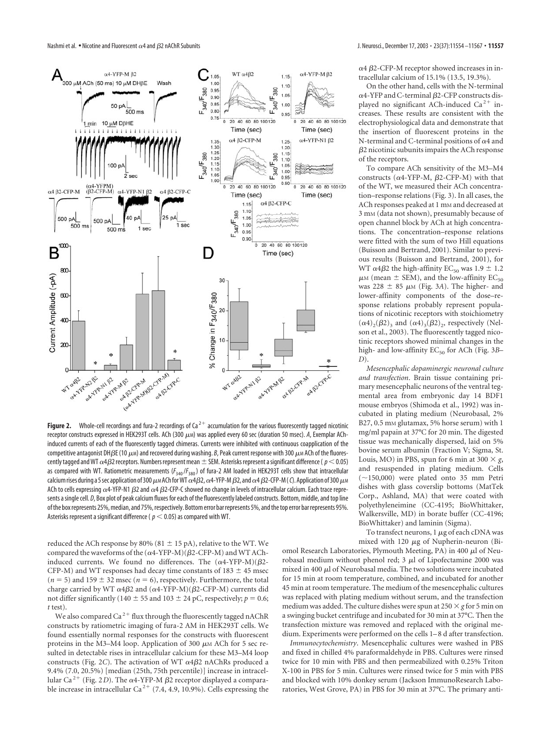

**Figure 2.** Whole-cell recordings and fura-2 recordings of  $Ca^{2+}$  accumulation for the various fluorescently tagged nicotinic receptor constructs expressed in HEK293T cells. ACh (300 μM) was applied every 60 sec (duration 50 msec). A, Exemplar AChinduced currents of each of the fluorescently tagged chimeras. Currents were inhibited with continuous coapplication of the competitive antagonist DH $\beta$ E (10  $\mu$ м) and recovered during washing.  $\beta$ , Peak current response with 300  $\mu$ м ACh of the fluorescently tagged and WT  $\alpha$ 4 $\beta$ 2 receptors. Numbers represent mean  $\pm$  SEM. Asterisks represent a significant difference (  $p$   $<$  0.05) as compared with WT. Ratiometric measurements (*F*340/*F*380) of fura-2 AM loaded in HEK293T cells show that intracellular calcium rises during a 5 sec application of 300  $\mu$ m ACh for WT  $\alpha$ 4 $\beta$ 2,  $\alpha$ 4-YFP-M  $\beta$ 2, and  $\alpha$ 4  $\beta$ 2-CFP-M (  $C$ ). Application of 300  $\mu$ m ACh to cells expressing  $\alpha$ 4-YFP-N1  $\beta$ 2 and  $\alpha$ 4  $\beta$ 2-CFP-C showed no change in levels of intracellular calcium. Each trace represents a single cell. *D*, Box plot of peak calcium fluxes for each of the fluorescently labeled constructs. Bottom, middle, and top line of the box represents 25%, median, and 75%, respectively. Bottom error bar represents 5%, and the top error bar represents 95%. Asterisks represent a significant difference ( $p < 0.05$ ) as compared with WT.

reduced the ACh response by 80% (81  $\pm$  15 pA), relative to the WT. We compared the waveforms of the  $(\alpha 4\text{-} \mathrm{YFP\text{-}M})(\beta 2\text{-}\mathrm{CFP\text{-}M})$  and WT AChinduced currents. We found no differences. The  $(\alpha 4$ -YFP-M)( $\beta$ 2-CFP-M) and WT responses had decay time constants of  $183 \pm 45$  msec  $(n = 5)$  and 159  $\pm$  32 msec ( $n = 6$ ), respectively. Furthermore, the total charge carried by WT  $\alpha$ 4 $\beta$ 2 and  $(\alpha$ 4-YFP-M)( $\beta$ 2-CFP-M) currents did not differ significantly (140  $\pm$  55 and 103  $\pm$  24 pC, respectively; *p* = 0.6; *t* test).

We also compared Ca<sup>2+</sup> flux through the fluorescently tagged nAChR constructs by ratiometric imaging of fura-2 AM in HEK293T cells. We found essentially normal responses for the constructs with fluorescent proteins in the M3–M4 loop. Application of 300  $\mu$ M ACh for 5 sec resulted in detectable rises in intracellular calcium for these M3–M4 loop constructs (Fig. 2C). The activation of WT  $\alpha$ 4 $\beta$ 2 nAChRs produced a 9.4% (7.0, 20.5%) [median (25th, 75th percentile)] increase in intracellular Ca<sup>2+</sup> (Fig. 2D). The  $\alpha$ 4-YFP-M  $\beta$ 2 receptor displayed a comparable increase in intracellular Ca<sup>2+</sup> (7.4, 4.9, 10.9%). Cells expressing the

 $\alpha$ 4  $\beta$ 2-CFP-M receptor showed increases in intracellular calcium of 15.1% (13.5, 19.3%).

On the other hand, cells with the N-terminal  $\alpha$ 4-YFP and C-terminal  $\beta$ 2-CFP constructs displayed no significant ACh-induced Ca<sup>2+</sup> increases. These results are consistent with the electrophysiological data and demonstrate that the insertion of fluorescent proteins in the N-terminal and C-terminal positions of  $\alpha$ 4 and  $\beta$ 2 nicotinic subunits impairs the ACh response of the receptors.

To compare ACh sensitivity of the M3–M4 constructs ( $\alpha$ 4-YFP-M,  $\beta$ 2-CFP-M) with that of the WT, we measured their ACh concentration–response relations (Fig. 3). In all cases, the ACh responses peaked at 1 mm and decreased at 3 mM (data not shown), presumably because of open channel block by ACh at high concentrations. The concentration–response relations were fitted with the sum of two Hill equations (Buisson and Bertrand, 2001). Similar to previous results (Buisson and Bertrand, 2001), for WT  $\alpha$ 4 $\beta$ 2 the high-affinity EC<sub>50</sub> was  $1.9 \pm 1.2$  $\mu$ M (mean  $\pm$  SEM), and the low-affinity EC<sub>50</sub> was 228  $\pm$  85  $\mu$ M (Fig. 3*A*). The higher- and lower-affinity components of the dose–response relations probably represent populations of nicotinic receptors with stoichiometry  $(\alpha 4)_2(\beta 2)_3$  and  $(\alpha 4)_3(\beta 2)_2$ , respectively (Nelson et al., 2003). The fluorescently tagged nicotinic receptors showed minimal changes in the high- and low-affinity EC<sub>50</sub> for ACh (Fig. 3B-*D*).

*Mesencephalic dopaminergic neuronal culture and transfection*. Brain tissue containing primary mesencephalic neurons of the ventral tegmental area from embryonic day 14 BDF1 mouse embryos (Shimoda et al., 1992) was incubated in plating medium (Neurobasal, 2% B27, 0.5 mm glutamax, 5% horse serum) with 1 mg/ml papain at 37°C for 20 min. The digested tissue was mechanically dispersed, laid on 5% bovine serum albumin (Fraction V; Sigma, St. Louis, MO) in PBS, spun for 6 min at 300  $\times$  *g*, and resuspended in plating medium. Cells  $(\sim 150,000)$  were plated onto 35 mm Petri dishes with glass coverslip bottoms (MatTek Corp., Ashland, MA) that were coated with polyethyleneimine (CC-4195; BioWhittaker, Walkersville, MD) in borate buffer (CC-4196; BioWhittaker) and laminin (Sigma).

To transfect neurons,  $1 \mu$ g of each cDNA was mixed with 120  $\mu$ g of Nupherin-neuron (Bi-

omol Research Laboratories, Plymouth Meeting, PA) in 400  $\mu$ l of Neurobasal medium without phenol red;  $3 \mu$ l of Lipofectamine 2000 was mixed in 400  $\mu$ l of Neurobasal media. The two solutions were incubated for 15 min at room temperature, combined, and incubated for another 45 min at room temperature. The medium of the mesencephalic cultures was replaced with plating medium without serum, and the transfection medium was added. The culture dishes were spun at  $250 \times g$  for 5 min on a swinging bucket centrifuge and incubated for 30 min at 37°C. Then the transfection mixture was removed and replaced with the original medium. Experiments were performed on the cells 1–8 d after transfection.

*Immunocytochemistry*. Mesencephalic cultures were washed in PBS and fixed in chilled 4% paraformaldehyde in PBS. Cultures were rinsed twice for 10 min with PBS and then permeabilized with 0.25% Triton X-100 in PBS for 5 min. Cultures were rinsed twice for 5 min with PBS and blocked with 10% donkey serum (Jackson ImmunoResearch Laboratories, West Grove, PA) in PBS for 30 min at 37°C. The primary anti-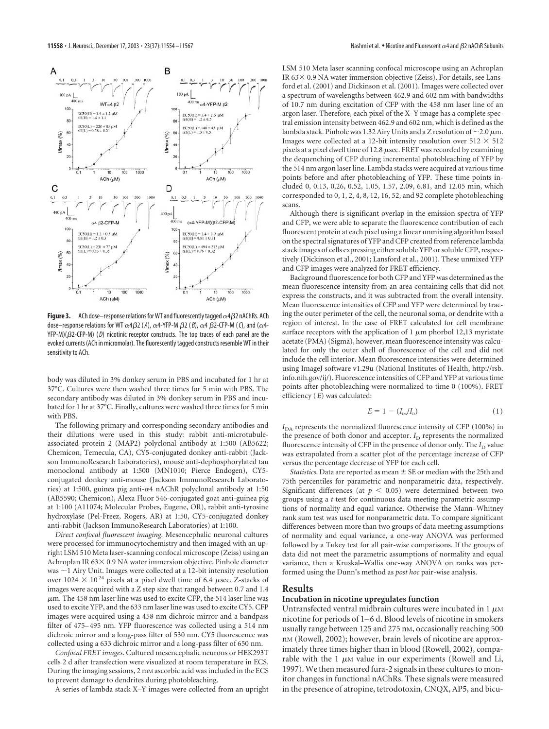

**Figure 3.** ACh dose–response relations for WT and fluorescently tagged  $\alpha$ 4 $\beta$ 2 nAChRs. ACh dose–response relations for WT  $\alpha$ 4 $\beta$ 2 (A),  $\alpha$ 4-YFP-M  $\beta$ 2 (*B*),  $\alpha$ 4  $\beta$ 2-CFP-M (*C*), and ( $\alpha$ 4-YFP-M)( $\beta$ 2-CFP-M) (D) nicotinic receptor constructs. The top traces of each panel are the evoked currents (ACh in micromolar). The fluorescently tagged constructs resemble WT in their sensitivity to ACh.

body was diluted in 3% donkey serum in PBS and incubated for 1 hr at 37°C. Cultures were then washed three times for 5 min with PBS. The secondary antibody was diluted in 3% donkey serum in PBS and incubated for 1 hr at 37°C. Finally, cultures were washed three times for 5 min with PBS.

The following primary and corresponding secondary antibodies and their dilutions were used in this study: rabbit anti-microtubuleassociated protein 2 (MAP2) polyclonal antibody at 1:500 (AB5622; Chemicon, Temecula, CA), CY5-conjugated donkey anti-rabbit (Jackson ImmunoResearch Laboratories), mouse anti-dephosphorylated tau monoclonal antibody at 1:500 (MN1010; Pierce Endogen), CY5 conjugated donkey anti-mouse (Jackson ImmunoResearch Laboratories) at 1:500, guinea pig anti- $\alpha$ 4 nAChR polyclonal antibody at 1:50 (AB5590; Chemicon), Alexa Fluor 546-conjugated goat anti-guinea pig at 1:100 (A11074; Molecular Probes, Eugene, OR), rabbit anti-tyrosine hydroxylase (Pel-Freez, Rogers, AR) at 1:50, CY5-conjugated donkey anti-rabbit (Jackson ImmunoResearch Laboratories) at 1:100.

*Direct confocal fluorescent imaging*. Mesencephalic neuronal cultures were processed for immunocytochemistry and then imaged with an upright LSM 510 Meta laser-scanning confocal microscope (Zeiss) using an Achroplan IR  $63 \times 0.9$  NA water immersion objective. Pinhole diameter was  $\sim$  1 Airy Unit. Images were collected at a 12-bit intensity resolution over 1024  $\times$  10<sup>24</sup> pixels at a pixel dwell time of 6.4  $\mu$ sec. Z-stacks of images were acquired with a Z step size that ranged between 0.7 and 1.4  $\mu$ m. The 458 nm laser line was used to excite CFP, the 514 laser line was used to excite YFP, and the 633 nm laser line was used to excite CY5. CFP images were acquired using a 458 nm dichroic mirror and a bandpass filter of 475–495 nm. YFP fluorescence was collected using a 514 nm dichroic mirror and a long-pass filter of 530 nm. CY5 fluorescence was collected using a 633 dichroic mirror and a long-pass filter of 650 nm.

*Confocal FRET images*. Cultured mesencephalic neurons or HEK293T cells 2 d after transfection were visualized at room temperature in ECS. During the imaging sessions, 2 mM ascorbic acid was included in the ECS to prevent damage to dendrites during photobleaching.

A series of lambda stack X–Y images were collected from an upright

LSM 510 Meta laser scanning confocal microscope using an Achroplan IR  $63 \times 0.9$  NA water immersion objective (Zeiss). For details, see Lansford et al. (2001) and Dickinson et al. (2001). Images were collected over a spectrum of wavelengths between 462.9 and 602 nm with bandwidths of 10.7 nm during excitation of CFP with the 458 nm laser line of an argon laser. Therefore, each pixel of the X–Y image has a complete spectral emission intensity between 462.9 and 602 nm, which is defined as the lambda stack. Pinhole was 1.32 Airy Units and a Z resolution of  $\sim$  2.0  $\mu$ m. Images were collected at a 12-bit intensity resolution over 512  $\times$  512 pixels at a pixel dwell time of 12.8  $\mu$ sec. FRET was recorded by examining the dequenching of CFP during incremental photobleaching of YFP by the 514 nm argon laser line. Lambda stacks were acquired at various time points before and after photobleaching of YFP. These time points included 0, 0.13, 0.26, 0.52, 1.05, 1.57, 2.09, 6.81, and 12.05 min, which corresponded to 0, 1, 2, 4, 8, 12, 16, 52, and 92 complete photobleaching scans.

Although there is significant overlap in the emission spectra of YFP and CFP, we were able to separate the fluorescence contribution of each fluorescent protein at each pixel using a linear unmixing algorithm based on the spectral signatures of YFP and CFP created from reference lambda stack images of cells expressing either soluble YFP or soluble CFP, respectively (Dickinson et al., 2001; Lansford et al., 2001). These unmixed YFP and CFP images were analyzed for FRET efficiency.

Background fluorescence for both CFP and YFP was determined as the mean fluorescence intensity from an area containing cells that did not express the constructs, and it was subtracted from the overall intensity. Mean fluorescence intensities of CFP and YFP were determined by tracing the outer perimeter of the cell, the neuronal soma, or dendrite with a region of interest. In the case of FRET calculated for cell membrane surface receptors with the application of 1  $\mu$ m phorbol 12,13 myristate acetate (PMA) (Sigma), however, mean fluorescence intensity was calculated for only the outer shell of fluorescence of the cell and did not include the cell interior. Mean fluorescence intensities were determined using ImageJ software v1.29u (National Institutes of Health, http://rsb. info.nih.gov/ij/). Fluorescence intensities of CFP and YFP at various time points after photobleaching were normalized to time 0 (100%). FRET efficiency (*E*) was calculated:

$$
E = 1 - (I_{\rm DA}/I_{\rm D}) \tag{1}
$$

 $I_{\mathrm{DA}}$  represents the normalized fluorescence intensity of CFP (100%) in the presence of both donor and acceptor.  $I_D$  represents the normalized fluorescence intensity of CFP in the presence of donor only. The  $I_D$  value was extrapolated from a scatter plot of the percentage increase of CFP versus the percentage decrease of YFP for each cell.

*Statistics*. Data are reported as mean  $\pm$  SE or median with the 25th and 75th percentiles for parametric and nonparametric data, respectively. Significant differences (at  $p < 0.05$ ) were determined between two groups using a *t* test for continuous data meeting parametric assumptions of normality and equal variance. Otherwise the Mann–Whitney rank sum test was used for nonparametric data. To compare significant differences between more than two groups of data meeting assumptions of normality and equal variance, a one-way ANOVA was performed followed by a Tukey test for all pair-wise comparisons. If the groups of data did not meet the parametric assumptions of normality and equal variance, then a Kruskal–Wallis one-way ANOVA on ranks was performed using the Dunn's method as *post hoc* pair-wise analysis.

#### **Results**

#### **Incubation in nicotine upregulates function**

Untransfected ventral midbrain cultures were incubated in 1  $\mu$ M nicotine for periods of 1–6 d. Blood levels of nicotine in smokers usually range between 125 and 275 nM, occasionally reaching 500 nM (Rowell, 2002); however, brain levels of nicotine are approximately three times higher than in blood (Rowell, 2002), comparable with the 1  $\mu$ M value in our experiments (Rowell and Li, 1997). We then measured fura-2 signals in these cultures to monitor changes in functional nAChRs. These signals were measured in the presence of atropine, tetrodotoxin, CNQX, AP5, and bicu-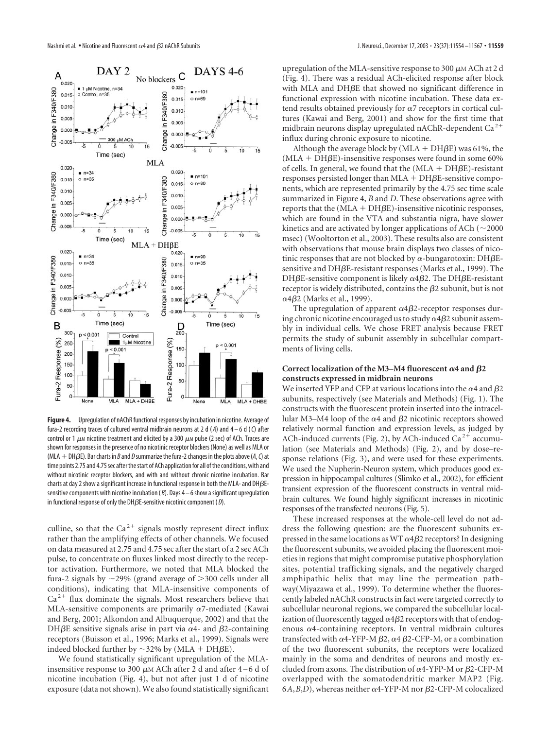

**Figure 4.** Upregulation of nAChR functional responses by incubation in nicotine. Average of fura-2 recording traces of cultured ventral midbrain neurons at2d( *A*) and 4 – 6 d (*C*) after control or 1  $\mu$  nicotine treatment and elicited by a 300  $\mu$  m pulse (2 sec) of ACh. Traces are shown for responses in the presence of no nicotinic receptor blockers (None) as well as MLA or (MLA  $+$  DH $\beta$ E). Bar charts in  $B$  and  $D$  summarize the fura-2 changes in the plots above (*A*, *C*) at time points 2.75 and 4.75 sec after the start of ACh application for all of the conditions, with and without nicotinic receptor blockers, and with and without chronic nicotine incubation. Bar charts at day 2 show a significant increase in functional response in both the MLA- and DH $\beta$ Esensitive components with nicotine incubation ( *B*). Days 4 – 6 show a significant upregulation in functional response of only the DH-E-sensitive nicotinic component ( *D*).

culline, so that the Ca<sup>2+</sup> signals mostly represent direct influx rather than the amplifying effects of other channels. We focused on data measured at 2.75 and 4.75 sec after the start of a 2 sec ACh pulse, to concentrate on fluxes linked most directly to the receptor activation. Furthermore, we noted that MLA blocked the fura-2 signals by  $\sim$ 29% (grand average of  $>$ 300 cells under all conditions), indicating that MLA-insensitive components of  $Ca<sup>2+</sup>$  flux dominate the signals. Most researchers believe that MLA-sensitive components are primarily  $\alpha$ 7-mediated (Kawai and Berg, 2001; Alkondon and Albuquerque, 2002) and that the DH $\beta$ E sensitive signals arise in part via  $\alpha$ 4- and  $\beta$ 2-containing receptors (Buisson et al., 1996; Marks et al., 1999). Signals were indeed blocked further by  $\sim$ 32% by (MLA + DH $\beta$ E).

We found statistically significant upregulation of the MLAinsensitive response to 300  $\mu$ M ACh after 2 d and after 4–6 d of nicotine incubation (Fig. 4), but not after just 1 d of nicotine exposure (data not shown). We also found statistically significant

upregulation of the MLA-sensitive response to 300  $\mu$ M ACh at 2 d (Fig. 4). There was a residual ACh-elicited response after block with MLA and DH $\beta$ E that showed no significant difference in functional expression with nicotine incubation. These data extend results obtained previously for  $\alpha$ 7 receptors in cortical cultures (Kawai and Berg, 2001) and show for the first time that midbrain neurons display upregulated nAChR-dependent Ca<sup>2+</sup> influx during chronic exposure to nicotine.

Although the average block by  $(MLA + DH\beta E)$  was 61%, the  $(MLA + DHBE)$ -insensitive responses were found in some 60% of cells. In general, we found that the  $(MLA + DHBE)$ -resistant  $r$ esponses persisted longer than MLA +  $DH\beta E$ -sensitive components, which are represented primarily by the 4.75 sec time scale summarized in Figure 4, *B* and *D*. These observations agree with  $reports that the (MLA + DHBE) - insensitive nicotinic responses,$ which are found in the VTA and substantia nigra, have slower kinetics and are activated by longer applications of ACh  $(\sim 2000$ msec) (Wooltorton et al., 2003). These results also are consistent with observations that mouse brain displays two classes of nicotinic responses that are not blocked by  $\alpha$ -bungarotoxin: DH $\beta$ Esensitive and DH $\beta$ E-resistant responses (Marks et al., 1999). The DH $\beta$ E-sensitive component is likely  $\alpha$ 4 $\beta$ 2. The DH $\beta$ E-resistant receptor is widely distributed, contains the  $\beta$ 2 subunit, but is not  $\alpha$ 4 $\beta$ 2 (Marks et al., 1999).

The upregulation of apparent  $\alpha$ 4 $\beta$ 2-receptor responses during chronic nicotine encouraged us to study  $\alpha$ 4 $\beta$ 2 subunit assembly in individual cells. We chose FRET analysis because FRET permits the study of subunit assembly in subcellular compartments of living cells.

#### Correct localization of the M3–M4 fluorescent  $\alpha$ 4 and  $\beta$ 2 **constructs expressed in midbrain neurons**

We inserted YFP and CFP at various locations into the  $\alpha$ 4 and  $\beta$ 2 subunits, respectively (see Materials and Methods) (Fig. 1). The constructs with the fluorescent protein inserted into the intracellular M3–M4 loop of the  $\alpha$ 4 and  $\beta$ 2 nicotinic receptors showed relatively normal function and expression levels, as judged by ACh-induced currents (Fig. 2), by ACh-induced Ca<sup>2+</sup> accumulation (see Materials and Methods) (Fig. 2), and by dose–response relations (Fig. 3), and were used for these experiments. We used the Nupherin-Neuron system, which produces good expression in hippocampal cultures (Slimko et al., 2002), for efficient transient expression of the fluorescent constructs in ventral midbrain cultures. We found highly significant increases in nicotinic responses of the transfected neurons (Fig. 5).

These increased responses at the whole-cell level do not address the following question: are the fluorescent subunits expressed in the same locations as WT  $\alpha4\beta$ 2 receptors? In designing the fluorescent subunits, we avoided placing the fluorescent moieties in regions that might compromise putative phosphorylation sites, potential trafficking signals, and the negatively charged amphipathic helix that may line the permeation pathway(Miyazawa et al., 1999). To determine whether the fluorescently labeled nAChR constructs in fact were targeted correctly to subcellular neuronal regions, we compared the subcellular localization of fluorescently tagged  $\alpha$ 4 $\beta$ 2 receptors with that of endogenous  $\alpha$ 4-containing receptors. In ventral midbrain cultures transfected with  $\alpha$ 4-YFP-M  $\beta$ 2,  $\alpha$ 4  $\beta$ 2-CFP-M, or a combination of the two fluorescent subunits, the receptors were localized mainly in the soma and dendrites of neurons and mostly excluded from axons. The distribution of  $\alpha$ 4-YFP-M or  $\beta$ 2-CFP-M overlapped with the somatodendritic marker MAP2 (Fig. 6*A*,*B*,*D*), whereas neither  $\alpha$ 4-YFP-M nor  $\beta$ 2-CFP-M colocalized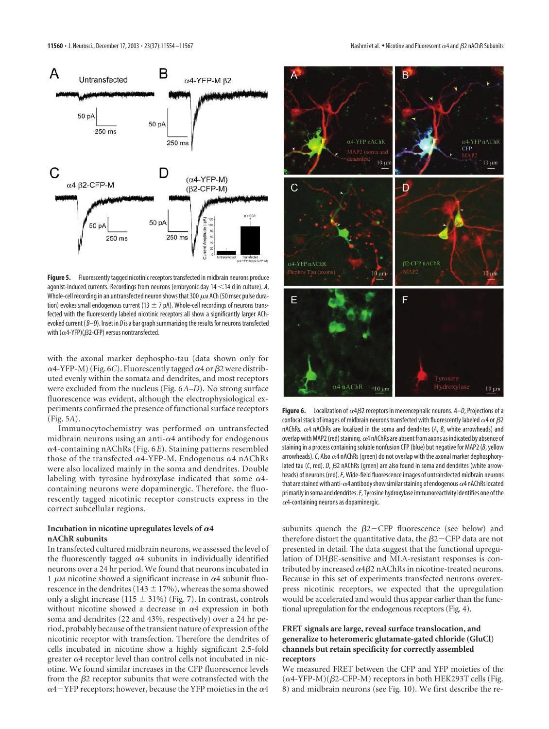

Figure 5. Fluorescently tagged nicotinic receptors transfected in midbrain neurons produce agonist-induced currents. Recordings from neurons (embryonic day 14 < 14 d in culture). A, Whole-cell recording in an untransfected neuron shows that 300  $\mu$ M ACh (50 msec pulse duration) evokes small endogenous current (13  $\pm$  7 pA). Whole-cell recordings of neurons transfected with the fluorescently labeled nicotinic receptors all show a significantly larger AChevoked current ( *B–D*). Inset in *D* is a bar graph summarizing the results for neurons transfected with ( $\alpha$ 4-YFP)( $\beta$ 2-CFP) versus nontransfected.

with the axonal marker dephospho-tau (data shown only for  $\alpha$ 4-YFP-M) (Fig. 6C). Fluorescently tagged  $\alpha$ 4 or  $\beta$ 2 were distributed evenly within the somata and dendrites, and most receptors were excluded from the nucleus (Fig. 6*A*–*D*). No strong surface fluorescence was evident, although the electrophysiological experiments confirmed the presence of functional surface receptors (Fig. 5*A*).

Immunocytochemistry was performed on untransfected midbrain neurons using an anti- $\alpha$ 4 antibody for endogenous  $\alpha$ 4-containing nAChRs (Fig.  $6E$ ). Staining patterns resembled those of the transfected  $\alpha$ 4-YFP-M. Endogenous  $\alpha$ 4 nAChRs were also localized mainly in the soma and dendrites. Double labeling with tyrosine hydroxylase indicated that some  $\alpha$ 4containing neurons were dopaminergic. Therefore, the fluorescently tagged nicotinic receptor constructs express in the correct subcellular regions.

#### Incubation in nicotine upregulates levels of  $\alpha$ 4 **nAChR subunits**

In transfected cultured midbrain neurons, we assessed the level of the fluorescently tagged  $\alpha$ 4 subunits in individually identified neurons over a 24 hr period. We found that neurons incubated in 1  $\mu$ M nicotine showed a significant increase in  $\alpha$ 4 subunit fluorescence in the dendrites (143  $\pm$  17%), whereas the soma showed only a slight increase (115  $\pm$  31%) (Fig. 7). In contrast, controls without nicotine showed a decrease in  $\alpha$ 4 expression in both soma and dendrites (22 and 43%, respectively) over a 24 hr period, probably because of the transient nature of expression of the nicotinic receptor with transfection. Therefore the dendrites of cells incubated in nicotine show a highly significant 2.5-fold greater  $\alpha$ 4 receptor level than control cells not incubated in nicotine. We found similar increases in the CFP fluorescence levels from the  $\beta$ 2 receptor subunits that were cotransfected with the  $\alpha$ 4-YFP receptors; however, because the YFP moieties in the  $\alpha$ 4



**Figure 6.** Localization of  $\alpha$ 4 $\beta$ 2 receptors in mecencephalic neurons.  $A-D$ , Projections of a confocal stack of images of midbrain neurons transfected with fluorescently labeled  $\alpha$ 4 or  $\beta$ 2 nAChRs.  $\alpha$ 4 nAChRs are localized in the soma and dendrites (A, B, white arrowheads) and overlap with MAP2 (red) staining.  $\alpha$ 4 nAChRs are absent from axons as indicated by absence of staining in a process containing soluble nonfusion CFP (blue) but negative for MAP2 (*B*, yellow arrowheads). C, Also  $\alpha$ 4 nAChRs (green) do not overlap with the axonal marker dephosphorylated tau (C, red). *D*,  $\beta$ 2 nAChRs (green) are also found in soma and dendrites (white arrowheads) of neurons (red).*E*, Wide-field fluorescence images of untransfected midbrain neurons that are stained with anti- $\alpha$ 4 antibody show similar staining of endogenous  $\alpha$ 4 nAChRs located primarily in soma and dendrites.*F*, Tyrosine hydroxylase immunoreactivity identifies one of the  $\alpha$ 4-containing neurons as dopaminergic.

subunits quench the  $\beta$ 2-CFP fluorescence (see below) and therefore distort the quantitative data, the  $\beta$ 2 $-$ CFP data are not presented in detail. The data suggest that the functional upregulation of DHßE-sensitive and MLA-resistant responses is contributed by increased  $\alpha$ 4 $\beta$ 2 nAChRs in nicotine-treated neurons. Because in this set of experiments transfected neurons overexpress nicotinic receptors, we expected that the upregulation would be accelerated and would thus appear earlier than the functional upregulation for the endogenous receptors (Fig. 4).

#### **FRET signals are large, reveal surface translocation, and generalize to heteromeric glutamate-gated chloride (GluCl) channels but retain specificity for correctly assembled receptors**

We measured FRET between the CFP and YFP moieties of the  $(\alpha$ 4-YFP-M)( $\beta$ 2-CFP-M) receptors in both HEK293T cells (Fig. 8) and midbrain neurons (see Fig. 10). We first describe the re-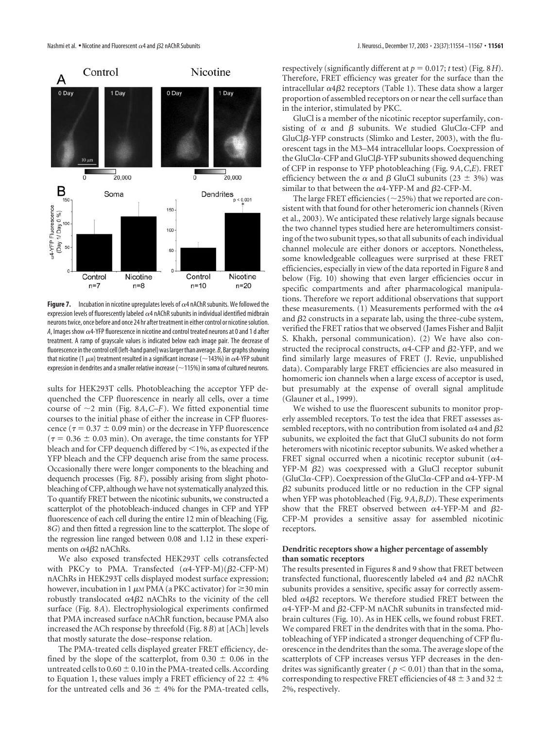

**Figure 7.** Incubation in nicotine upregulates levels of  $\alpha$ 4 nAChR subunits. We followed the expression levels of fluorescently labeled  $\alpha$ 4 nAChR subunits in individual identified midbrain neurons twice, once before and once 24 hr after treatment in either control or nicotine solution. A, Images show  $\alpha$ 4-YFP fluorescence in nicotine and control treated neurons at 0 and 1 d after treatment. A ramp of grayscale values is indicated below each image pair. The decrease of fluorescence in the control cell (left-hand panel) was larger than average. *B*, Bar graphs showing that nicotine (1  $\mu$ m) treatment resulted in a significant increase (~143%) in  $\alpha$ 4-YFP subunit expression in dendrites and a smaller relative increase ( $\sim$ 115%) in soma of cultured neurons.

sults for HEK293T cells. Photobleaching the acceptor YFP dequenched the CFP fluorescence in nearly all cells, over a time course of  $\sim$ 2 min (Fig. 8*A*, *C*–*F*). We fitted exponential time courses to the initial phase of either the increase in CFP fluorescence ( $\tau$  = 0.37  $\pm$  0.09 min) or the decrease in YFP fluorescence  $(\tau = 0.36 \pm 0.03 \text{ min})$ . On average, the time constants for YFP bleach and for CFP dequench differed by  $\leq$  1%, as expected if the YFP bleach and the CFP dequench arise from the same process. Occasionally there were longer components to the bleaching and dequench processes (Fig. 8*F*), possibly arising from slight photobleaching of CFP, although we have not systematically analyzed this. To quantify FRET between the nicotinic subunits, we constructed a scatterplot of the photobleach-induced changes in CFP and YFP fluorescence of each cell during the entire 12 min of bleaching (Fig. 8*G*) and then fitted a regression line to the scatterplot. The slope of the regression line ranged between 0.08 and 1.12 in these experiments on  $\alpha$ 4 $\beta$ 2 nAChRs.

We also exposed transfected HEK293T cells cotransfected with PKC $\gamma$  to PMA. Transfected  $(\alpha 4$ -YFP-M)( $\beta$ 2-CFP-M) nAChRs in HEK293T cells displayed modest surface expression; however, incubation in 1  $\mu$ M PMA (a PKC activator) for  $\geq$  30 min robustly translocated  $\alpha$ 4 $\beta$ 2 nAChRs to the vicinity of the cell surface (Fig. 8*A*). Electrophysiological experiments confirmed that PMA increased surface nAChR function, because PMA also increased the ACh response by threefold (Fig. 8*B*) at [ACh] levels that mostly saturate the dose–response relation.

The PMA-treated cells displayed greater FRET efficiency, defined by the slope of the scatterplot, from  $0.30 \pm 0.06$  in the untreated cells to  $0.60 \pm 0.10$  in the PMA-treated cells. According to Equation 1, these values imply a FRET efficiency of  $22 \pm 4\%$ for the untreated cells and  $36 \pm 4\%$  for the PMA-treated cells,

2 nAChR Subunits J. Neurosci., December 17, 2003 • 23(37):11554 –11567 **• 11561**

respectively (significantly different at  $p = 0.017$ ; *t* test) (Fig. 8*H*). Therefore, FRET efficiency was greater for the surface than the intracellular  $\alpha$ 4 $\beta$ 2 receptors (Table 1). These data show a larger proportion of assembled receptors on or near the cell surface than in the interior, stimulated by PKC.

GluCl is a member of the nicotinic receptor superfamily, consisting of  $\alpha$  and  $\beta$  subunits. We studied GluCl $\alpha$ -CFP and GluCl $\beta$ -YFP constructs (Slimko and Lester, 2003), with the fluorescent tags in the M3–M4 intracellular loops. Coexpression of the GluCl $\alpha$ -CFP and GluCl $\beta$ -YFP subunits showed dequenching of CFP in response to YFP photobleaching (Fig. 9*A*,*C*,*E*). FRET efficiency between the  $\alpha$  and  $\beta$  GluCl subunits (23  $\pm$  3%) was similar to that between the  $\alpha$ 4-YFP-M and  $\beta$ 2-CFP-M.

The large FRET efficiencies ( $\sim$ 25%) that we reported are consistent with that found for other heteromeric ion channels (Riven et al., 2003). We anticipated these relatively large signals because the two channel types studied here are heteromultimers consisting of the two subunit types, so that all subunits of each individual channel molecule are either donors or acceptors. Nonetheless, some knowledgeable colleagues were surprised at these FRET efficiencies, especially in view of the data reported in Figure 8 and below (Fig. 10) showing that even larger efficiencies occur in specific compartments and after pharmacological manipulations. Therefore we report additional observations that support these measurements. (1) Measurements performed with the  $\alpha$ 4 and  $\beta$ 2 constructs in a separate lab, using the three-cube system, verified the FRET ratios that we observed (James Fisher and Baljit S. Khakh, personal communication). (2) We have also constructed the reciprocal constructs,  $\alpha$ 4-CFP and  $\beta$ 2-YFP, and we find similarly large measures of FRET (J. Revie, unpublished data). Comparably large FRET efficiencies are also measured in homomeric ion channels when a large excess of acceptor is used, but presumably at the expense of overall signal amplitude (Glauner et al., 1999).

We wished to use the fluorescent subunits to monitor properly assembled receptors. To test the idea that FRET assesses assembled receptors, with no contribution from isolated  $\alpha$ 4 and  $\beta$ 2 subunits, we exploited the fact that GluCl subunits do not form heteromers with nicotinic receptor subunits. We asked whether a FRET signal occurred when a nicotinic receptor subunit ( $\alpha$ 4- $YFP-M$   $\beta$ 2) was coexpressed with a GluCl receptor subunit (GluCl $\alpha$ -CFP). Coexpression of the GluCl $\alpha$ -CFP and  $\alpha$ 4-YFP-M  $\beta$ 2 subunits produced little or no reduction in the CFP signal when YFP was photobleached (Fig. 9*A*,*B*,*D*). These experiments show that the FRET observed between  $\alpha$ 4-YFP-M and  $\beta$ 2-CFP-M provides a sensitive assay for assembled nicotinic receptors.

#### **Dendritic receptors show a higher percentage of assembly than somatic receptors**

The results presented in Figures 8 and 9 show that FRET between transfected functional, fluorescently labeled  $\alpha$ 4 and  $\beta$ 2 nAChR subunits provides a sensitive, specific assay for correctly assembled  $\alpha$ 4 $\beta$ 2 receptors. We therefore studied FRET between the  $\alpha$ 4-YFP-M and  $\beta$ 2-CFP-M nAChR subunits in transfected midbrain cultures (Fig. 10). As in HEK cells, we found robust FRET. We compared FRET in the dendrites with that in the soma. Photobleaching of YFP indicated a stronger dequenching of CFP fluorescence in the dendrites than the soma. The average slope of the scatterplots of CFP increases versus YFP decreases in the dendrites was significantly greater ( $p \le 0.01$ ) than that in the soma, corresponding to respective FRET efficiencies of 48  $\pm$  3 and 32  $\pm$ 2%, respectively.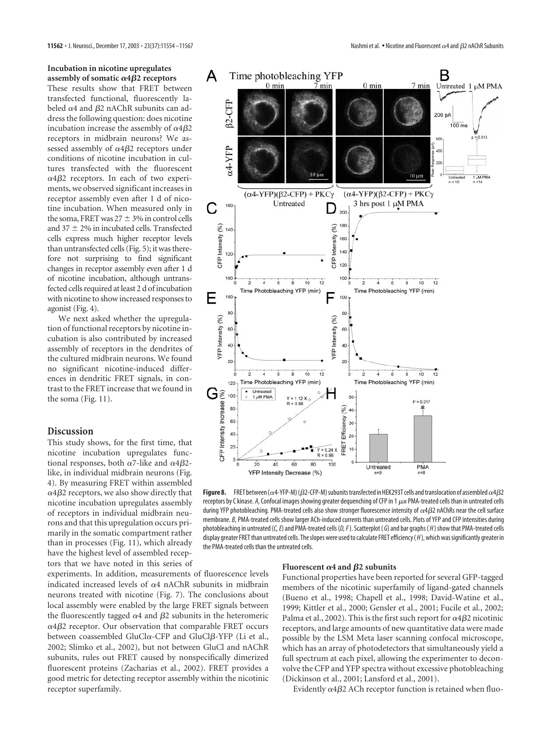These results show that FRET between transfected functional, fluorescently labeled  $\alpha$ 4 and  $\beta$ 2 nAChR subunits can address the following question: does nicotine incubation increase the assembly of  $\alpha$ 4 $\beta$ 2 receptors in midbrain neurons? We assessed assembly of  $\alpha 4\beta 2$  receptors under conditions of nicotine incubation in cultures transfected with the fluorescent  $\alpha$ 4 $\beta$ 2 receptors. In each of two experiments, we observed significant increases in receptor assembly even after 1 d of nicotine incubation. When measured only in the soma, FRET was  $27 \pm 3\%$  in control cells and  $37 \pm 2\%$  in incubated cells. Transfected cells express much higher receptor levels than untransfected cells (Fig. 5); it was therefore not surprising to find significant changes in receptor assembly even after 1 d of nicotine incubation, although untransfected cells required at least 2 d of incubation with nicotine to show increased responses to agonist (Fig. 4).

We next asked whether the upregulation of functional receptors by nicotine incubation is also contributed by increased assembly of receptors in the dendrites of the cultured midbrain neurons. We found no significant nicotine-induced differences in dendritic FRET signals, in contrast to the FRET increase that we found in the soma (Fig. 11).

#### **Discussion**

This study shows, for the first time, that nicotine incubation upregulates functional responses, both  $\alpha$ 7-like and  $\alpha$ 4 $\beta$ 2like, in individual midbrain neurons (Fig. 4). By measuring FRET within assembled  $\alpha$ 4 $\beta$ 2 receptors, we also show directly that nicotine incubation upregulates assembly of receptors in individual midbrain neurons and that this upregulation occurs primarily in the somatic compartment rather than in processes (Fig. 11), which already have the highest level of assembled receptors that we have noted in this series of

experiments. In addition, measurements of fluorescence levels indicated increased levels of  $\alpha$ 4 nAChR subunits in midbrain neurons treated with nicotine (Fig. 7). The conclusions about local assembly were enabled by the large FRET signals between the fluorescently tagged  $\alpha$ 4 and  $\beta$ 2 subunits in the heteromeric  $\alpha$ 4 $\beta$ 2 receptor. Our observation that comparable FRET occurs between coassembled GluCl $\alpha$ -CFP and GluCl $\beta$ -YFP (Li et al., 2002; Slimko et al., 2002), but not between GluCl and nAChR subunits, rules out FRET caused by nonspecifically dimerized fluorescent proteins (Zacharias et al., 2002). FRET provides a good metric for detecting receptor assembly within the nicotinic receptor superfamily.



**Figure 8.** FRET between ( $\alpha$ 4-YFP-M) ( $\beta$ 2-CFP-M) subunits transfected in HEK293T cells and translocation of assembled  $\alpha$ 4 $\beta$ 2 receptors by C kinase. A, Confocal images showing greater dequenching of CFP in 1  $\mu$ M PMA-treated cells than in untreated cells during YFP photobleaching. PMA-treated cells also show stronger fluorescence intensity of  $\alpha$ 4 $\beta$ 2 nAChRs near the cell surface membrane. *B*, PMA-treated cells show larger ACh-induced currents than untreated cells. Plots of YFP and CFP intensities during photobleaching in untreated (*C, E*) and PMA-treated cells (*D, F*). Scatterplot ( *G*) and bar graphs ( *H* ) show that PMA-treated cells display greater FRET than untreated cells. The slopes were used to calculate FRET efficiency ( *H* ), which was significantly greater in the PMA-treated cells than the untreated cells.

#### Fluorescent  $\alpha$ 4 and  $\beta$ 2 subunits

Functional properties have been reported for several GFP-tagged members of the nicotinic superfamily of ligand-gated channels (Bueno et al., 1998; Chapell et al., 1998; David-Watine et al., 1999; Kittler et al., 2000; Gensler et al., 2001; Fucile et al., 2002; Palma et al., 2002). This is the first such report for  $\alpha$ 4 $\beta$ 2 nicotinic receptors, and large amounts of new quantitative data were made possible by the LSM Meta laser scanning confocal microscope, which has an array of photodetectors that simultaneously yield a full spectrum at each pixel, allowing the experimenter to deconvolve the CFP and YFP spectra without excessive photobleaching (Dickinson et al., 2001; Lansford et al., 2001).

Evidently  $\alpha$ 4 $\beta$ 2 ACh receptor function is retained when fluo-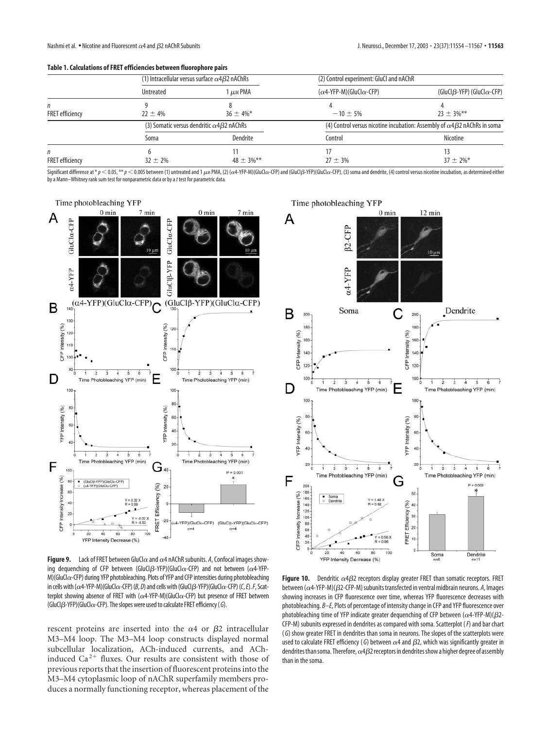#### **Table 1. Calculations of FRET efficiencies between fluorophore pairs**

|                             | (1) Intracellular versus surface $\alpha$ 4 $\beta$ 2 nAChRs |                 | (2) Control experiment: GluCl and nAChR                                                 |                                            |
|-----------------------------|--------------------------------------------------------------|-----------------|-----------------------------------------------------------------------------------------|--------------------------------------------|
|                             | Untreated                                                    | I µm PMA        | $(\alpha$ 4-YFP-M)(GluCl $\alpha$ -CFP)                                                 | (GluCl $\beta$ -YFP) (GluCl $\alpha$ -CFP) |
| n<br><b>FRET</b> efficiency | $22 \pm 4\%$                                                 | $36 \pm 4\%$ *  | $-10 \pm 5\%$                                                                           | $23 \pm 3\%$ **                            |
|                             | (3) Somatic versus dendritic $\alpha$ 4 $\beta$ 2 nAChRs     |                 | (4) Control versus nicotine incubation: Assembly of $\alpha$ 4 $\beta$ 2 nAChRs in soma |                                            |
|                             | Soma                                                         | Dendrite        | Control                                                                                 | Nicotine                                   |
| n<br><b>FRET</b> efficiency | $32 \pm 2\%$                                                 | $48 \pm 3\%$ ** | $27 \pm 3\%$                                                                            | 13<br>$37 \pm 2\%$ *                       |

Significant difference at \*  $p <$  0.05, \*\*  $p <$  0.005 between (1) untreated and 1  $\mu$ м PMA, (2) (cx4-YFP-M)(GluCl $\alpha$ -CFP) and (GluCl $\beta$ -YFP)(GluCl $\alpha$ -CFP), 3) soma and dendrite, (4) control versus nicotine incubation, by a Mann–Whitney rank sum test for nonparametric data or by a*t* test for parametric data*.*



**Figure 9.** Lack of FRET between GluCl $\alpha$  and  $\alpha$ 4 nAChR subunits. A, Confocal images showing dequenching of CFP between (GluCl $\beta$ -YFP)(GluCl $\alpha$ -CFP) and not between ( $\alpha$ 4-YFP-M)(GluCl $\alpha$ -CFP) during YFP photobleaching. Plots of YFP and CFP intensities during photobleaching in cells with ( $\alpha$ 4-YFP-M)(GluCl $\alpha$ -CFP) (*B, D*) and cells with (GluCl $\beta$ -YFP)(GluCl $\alpha$ -CFP) (*C, E*). *F,* Scatterplot showing absence of FRET with ( $\alpha$ 4-YFP-M)(GluCl $\alpha$ -CFP) but presence of FRET between (GluCl--YFP)(GluCl-CFP). The slopes were used to calculate FRET efficiency (*G*).

rescent proteins are inserted into the  $\alpha$ 4 or  $\beta$ 2 intracellular M3–M4 loop. The M3–M4 loop constructs displayed normal subcellular localization, ACh-induced currents, and AChinduced  $Ca^{2+}$  fluxes. Our results are consistent with those of previous reports that the insertion of fluorescent proteins into the M3–M4 cytoplasmic loop of nAChR superfamily members produces a normally functioning receptor, whereas placement of the



Figure 10. Dendritic  $\alpha$ 4 $\beta$ 2 receptors display greater FRET than somatic receptors. FRET between ( $\alpha$ 4-YFP-M)( $\beta$ 2-CFP-M) subunits transfected in ventral midbrain neurons. *A,* Images showing increases in CFP fluorescence over time, whereas YFP fluorescence decreases with photobleaching. *B–E*, Plots of percentage of intensity change in CFP and YFP fluorescence over photobleaching time of YFP indicate greater dequenching of CFP between ( $\alpha$ 4-YFP-M)( $\beta$ 2-CFP-M) subunits expressed in dendrites as compared with soma. Scatterplot (*F*) and bar chart ( *G*) show greater FRET in dendrites than soma in neurons. The slopes of the scatterplots were used to calculate FRET efficiency (G) between  $\alpha$ 4 and  $\beta$ 2, which was significantly greater in dendrites than soma. Therefore,  $\alpha$ 4 $\beta$ 2 receptors in dendrites show a higher degree of assembly than in the soma.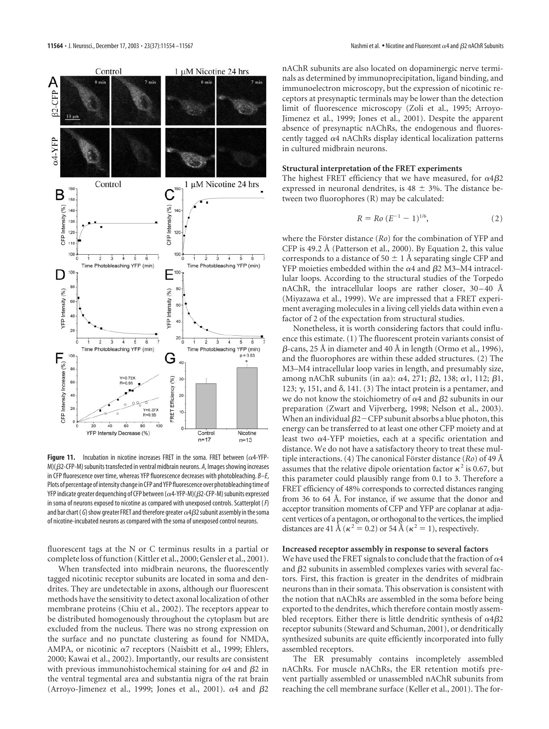

**Figure 11.** Incubation in nicotine increases FRET in the soma. FRET between  $(\alpha 4$ -YFP-M)( $\beta$ 2-CFP-M) subunits transfected in ventral midbrain neurons. A, Images showing increases in CFP fluorescence over time, whereas YFP fluorescence decreases with photobleaching. *B–E*, Plots of percentage of intensity change in CFP and YFP fluorescence over photobleaching time of YFP indicate greater dequenching of CFP between ( $\alpha$ 4-YFP-M)( $\beta$ 2-CFP-M) subunits expressed in soma of neurons exposed to nicotine as compared with unexposed controls. Scatterplot (*F*) and bar chart ( G) show greater FRET and therefore greater  $\alpha$ 4 $\beta$ 2 subunit assembly in the soma of nicotine-incubated neurons as compared with the soma of unexposed control neurons.

fluorescent tags at the N or C terminus results in a partial or complete loss of function (Kittler et al., 2000; Gensler et al., 2001).

When transfected into midbrain neurons, the fluorescently tagged nicotinic receptor subunits are located in soma and dendrites. They are undetectable in axons, although our fluorescent methods have the sensitivity to detect axonal localization of other membrane proteins (Chiu et al., 2002). The receptors appear to be distributed homogenously throughout the cytoplasm but are excluded from the nucleus. There was no strong expression on the surface and no punctate clustering as found for NMDA, AMPA, or nicotinic  $\alpha$ 7 receptors (Naisbitt et al., 1999; Ehlers, 2000; Kawai et al., 2002). Importantly, our results are consistent with previous immunohistochemical staining for  $\alpha$ 4 and  $\beta$ 2 in the ventral tegmental area and substantia nigra of the rat brain (Arroyo-Jimenez et al., 1999; Jones et al., 2001).  $\alpha$ 4 and  $\beta$ 2

nAChR subunits are also located on dopaminergic nerve terminals as determined by immunoprecipitation, ligand binding, and immunoelectron microscopy, but the expression of nicotinic receptors at presynaptic terminals may be lower than the detection limit of fluorescence microscopy (Zoli et al., 1995; Arroyo-Jimenez et al., 1999; Jones et al., 2001). Despite the apparent absence of presynaptic nAChRs, the endogenous and fluorescently tagged  $\alpha$ 4 nAChRs display identical localization patterns in cultured midbrain neurons.

#### **Structural interpretation of the FRET experiments**

The highest FRET efficiency that we have measured, for  $\alpha 4\beta 2$ expressed in neuronal dendrites, is  $48 \pm 3\%$ . The distance between two fluorophores (R) may be calculated:

$$
R = Ro (E^{-1} - 1)^{1/6}, \t\t(2)
$$

where the Förster distance (*Ro*) for the combination of YFP and CFP is 49.2 Å (Patterson et al., 2000). By Equation 2, this value corresponds to a distance of 50  $\pm$  1 Å separating single CFP and YFP moieties embedded within the  $\alpha$ 4 and  $\beta$ 2 M3–M4 intracellular loops. According to the structural studies of the Torpedo nAChR, the intracellular loops are rather closer, 30–40 Å (Miyazawa et al., 1999). We are impressed that a FRET experiment averaging molecules in a living cell yields data within even a factor of 2 of the expectation from structural studies.

Nonetheless, it is worth considering factors that could influence this estimate. (1) The fluorescent protein variants consist of  $\beta$ -cans, 25 Å in diameter and 40 Å in length (Ormo et al., 1996), and the fluorophores are within these added structures. (2) The M3–M4 intracellular loop varies in length, and presumably size, among nAChR subunits (in aa):  $\alpha$ 4, 271;  $\beta$ 2, 138;  $\alpha$ 1, 112;  $\beta$ 1, 123;  $\gamma$ , 151, and  $\delta$ , 141. (3) The intact protein is a pentamer, and we do not know the stoichiometry of  $\alpha4$  and  $\beta2$  subunits in our preparation (Zwart and Vijverberg, 1998; Nelson et al., 2003). When an individual  $\beta$ 2  $-$  CFP subunit absorbs a blue photon, this energy can be transferred to at least one other CFP moiety and at least two  $\alpha$ 4-YFP moieties, each at a specific orientation and distance. We do not have a satisfactory theory to treat these multiple interactions. (4) The canonical Förster distance  $(Ro)$  of 49 Å assumes that the relative dipole orientation factor  $\kappa^2$  is 0.67, but this parameter could plausibly range from 0.1 to 3. Therefore a FRET efficiency of 48% corresponds to corrected distances ranging from 36 to 64 Å. For instance, if we assume that the donor and acceptor transition moments of CFP and YFP are coplanar at adjacent vertices of a pentagon, or orthogonal to the vertices, the implied distances are 41 Å ( $\kappa^2$  = 0.2) or 54 Å ( $\kappa^2$  = 1), respectively.

#### **Increased receptor assembly in response to several factors**

We have used the FRET signals to conclude that the fraction of  $\alpha$ 4 and  $\beta$ 2 subunits in assembled complexes varies with several factors. First, this fraction is greater in the dendrites of midbrain neurons than in their somata. This observation is consistent with the notion that nAChRs are assembled in the soma before being exported to the dendrites, which therefore contain mostly assembled receptors. Either there is little dendritic synthesis of  $\alpha$ 4 $\beta$ 2 receptor subunits (Steward and Schuman, 2001), or dendritically synthesized subunits are quite efficiently incorporated into fully assembled receptors.

The ER presumably contains incompletely assembled nAChRs. For muscle nAChRs, the ER retention motifs prevent partially assembled or unassembled nAChR subunits from reaching the cell membrane surface (Keller et al., 2001). The for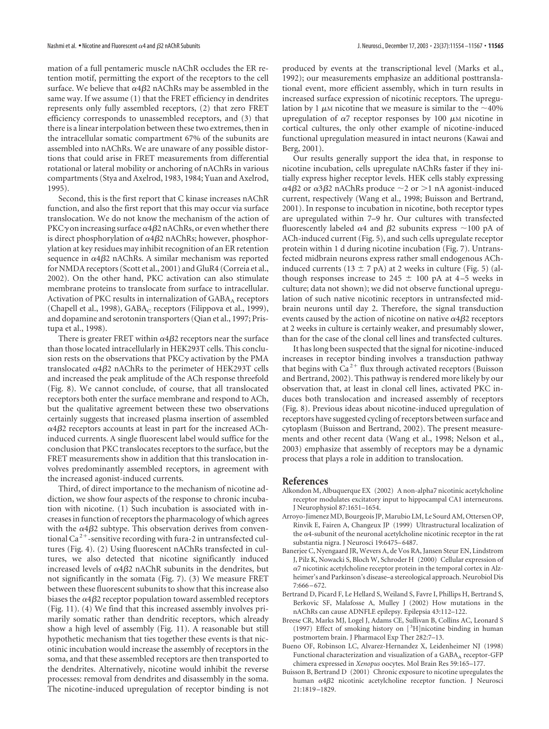mation of a full pentameric muscle nAChR occludes the ER retention motif, permitting the export of the receptors to the cell surface. We believe that  $\alpha$ 4 $\beta$ 2 nAChRs may be assembled in the same way. If we assume (1) that the FRET efficiency in dendrites represents only fully assembled receptors, (2) that zero FRET efficiency corresponds to unassembled receptors, and (3) that there is a linear interpolation between these two extremes, then in the intracellular somatic compartment 67% of the subunits are assembled into nAChRs. We are unaware of any possible distortions that could arise in FRET measurements from differential rotational or lateral mobility or anchoring of nAChRs in various compartments (Stya and Axelrod, 1983, 1984; Yuan and Axelrod, 1995).

Second, this is the first report that C kinase increases nAChR function, and also the first report that this may occur via surface translocation. We do not know the mechanism of the action of PKC $\gamma$  on increasing surface  $\alpha$ 4 $\beta$ 2 nAChRs, or even whether there is direct phosphorylation of  $\alpha$ 4 $\beta$ 2 nAChRs; however, phosphorylation at key residues may inhibit recognition of an ER retention sequence in  $\alpha$ 4 $\beta$ 2 nAChRs. A similar mechanism was reported for NMDA receptors (Scott et al., 2001) and GluR4 (Correia et al., 2002). On the other hand, PKC activation can also stimulate membrane proteins to translocate from surface to intracellular. Activation of PKC results in internalization of  $GABA_A$  receptors (Chapell et al., 1998), GABA<sub>C</sub> receptors (Filippova et al., 1999), and dopamine and serotonin transporters (Qian et al., 1997; Pristupa et al., 1998).

There is greater FRET within  $\alpha 4\beta 2$  receptors near the surface than those located intracellularly in HEK293T cells. This conclusion rests on the observations that  $\text{PKC}\gamma$  activation by the PMA translocated  $\alpha$ 4 $\beta$ 2 nAChRs to the perimeter of HEK293T cells and increased the peak amplitude of the ACh response threefold (Fig. 8). We cannot conclude, of course, that all translocated receptors both enter the surface membrane and respond to ACh, but the qualitative agreement between these two observations certainly suggests that increased plasma insertion of assembled  $\alpha$ 4 $\beta$ 2 receptors accounts at least in part for the increased AChinduced currents. A single fluorescent label would suffice for the conclusion that PKC translocates receptors to the surface, but the FRET measurements show in addition that this translocation involves predominantly assembled receptors, in agreement with the increased agonist-induced currents.

Third, of direct importance to the mechanism of nicotine addiction, we show four aspects of the response to chronic incubation with nicotine. (1) Such incubation is associated with increases in function of receptors the pharmacology of which agrees with the  $\alpha$ 4 $\beta$ 2 subtype. This observation derives from conventional Ca<sup>2+</sup>-sensitive recording with fura-2 in untransfected cultures (Fig. 4). (2) Using fluorescent nAChRs transfected in cultures, we also detected that nicotine significantly induced increased levels of  $\alpha$ 4 $\beta$ 2 nAChR subunits in the dendrites, but not significantly in the somata (Fig. 7). (3) We measure FRET between these fluorescent subunits to show that this increase also biases the  $\alpha$ 4 $\beta$ 2 receptor population toward assembled receptors (Fig. 11). (4) We find that this increased assembly involves primarily somatic rather than dendritic receptors, which already show a high level of assembly (Fig. 11). A reasonable but still hypothetic mechanism that ties together these events is that nicotinic incubation would increase the assembly of receptors in the soma, and that these assembled receptors are then transported to the dendrites. Alternatively, nicotine would inhibit the reverse processes: removal from dendrites and disassembly in the soma. The nicotine-induced upregulation of receptor binding is not

produced by events at the transcriptional level (Marks et al., 1992); our measurements emphasize an additional posttranslational event, more efficient assembly, which in turn results in increased surface expression of nicotinic receptors. The upregulation by 1  $\mu$ M nicotine that we measure is similar to the  $\sim$ 40% upregulation of  $\alpha$ 7 receptor responses by 100  $\mu$ M nicotine in cortical cultures, the only other example of nicotine-induced functional upregulation measured in intact neurons (Kawai and Berg, 2001).

Our results generally support the idea that, in response to nicotine incubation, cells upregulate nAChRs faster if they initially express higher receptor levels. HEK cells stably expressing  $\alpha$ 4 $\beta$ 2 or  $\alpha$ 3 $\beta$ 2 nAChRs produce  $\sim$ 2 or  $>$ 1 nA agonist-induced current, respectively (Wang et al., 1998; Buisson and Bertrand, 2001). In response to incubation in nicotine, both receptor types are upregulated within 7–9 hr. Our cultures with transfected fluorescently labeled  $\alpha$ 4 and  $\beta$ 2 subunits express  $\sim$ 100 pA of ACh-induced current (Fig. 5), and such cells upregulate receptor protein within 1 d during nicotine incubation (Fig. 7). Untransfected midbrain neurons express rather small endogenous AChinduced currents (13  $\pm$  7 pA) at 2 weeks in culture (Fig. 5) (although responses increase to 245  $\pm$  100 pA at 4–5 weeks in culture; data not shown); we did not observe functional upregulation of such native nicotinic receptors in untransfected midbrain neurons until day 2. Therefore, the signal transduction events caused by the action of nicotine on native  $\alpha$ 4 $\beta$ 2 receptors at 2 weeks in culture is certainly weaker, and presumably slower, than for the case of the clonal cell lines and transfected cultures.

It has long been suspected that the signal for nicotine-induced increases in receptor binding involves a transduction pathway that begins with  $Ca^{2+}$  flux through activated receptors (Buisson and Bertrand, 2002). This pathway is rendered more likely by our observation that, at least in clonal cell lines, activated PKC induces both translocation and increased assembly of receptors (Fig. 8). Previous ideas about nicotine-induced upregulation of receptors have suggested cycling of receptors between surface and cytoplasm (Buisson and Bertrand, 2002). The present measurements and other recent data (Wang et al., 1998; Nelson et al., 2003) emphasize that assembly of receptors may be a dynamic process that plays a role in addition to translocation.

#### **References**

- Alkondon M, Albuquerque EX (2002) A non-alpha7 nicotinic acetylcholine receptor modulates excitatory input to hippocampal CA1 interneurons. J Neurophysiol 87:1651–1654.
- Arroyo-Jimenez MD, Bourgeois JP, Marubio LM, Le Sourd AM, Ottersen OP, Rinvik E, Fairen A, Changeux JP (1999) Ultrastructural localization of the  $\alpha$ 4-subunit of the neuronal acetylcholine nicotinic receptor in the rat substantia nigra. J Neurosci 19:6475–6487.
- Banerjee C, Nyengaard JR, Wevers A, de Vos RA, Jansen Steur EN, Lindstrom J, Pilz K, Nowacki S, Bloch W, Schroder H (2000) Cellular expression of  $\alpha$ 7 nicotinic acetylcholine receptor protein in the temporal cortex in Alzheimer's and Parkinson's disease–a stereological approach. Neurobiol Dis 7:666–672.
- Bertrand D, Picard F, Le Hellard S, Weiland S, Favre I, Phillips H, Bertrand S, Berkovic SF, Malafosse A, Mulley J (2002) How mutations in the nAChRs can cause ADNFLE epilepsy. Epilepsia 43:112–122.
- Breese CR, Marks MJ, Logel J, Adams CE, Sullivan B, Collins AC, Leonard S (1997) Effect of smoking history on [3H]nicotine binding in human postmortem brain. J Pharmacol Exp Ther 282:7–13.
- Bueno OF, Robinson LC, Alvarez-Hernandez X, Leidenheimer NJ (1998) Functional characterization and visualization of a GABA<sub>A</sub> receptor-GFP chimera expressed in *Xenopus* oocytes. Mol Brain Res 59:165–177.
- Buisson B, Bertrand D (2001) Chronic exposure to nicotine upregulates the human  $\alpha$ 4 $\beta$ 2 nicotinic acetylcholine receptor function. J Neurosci 21:1819–1829.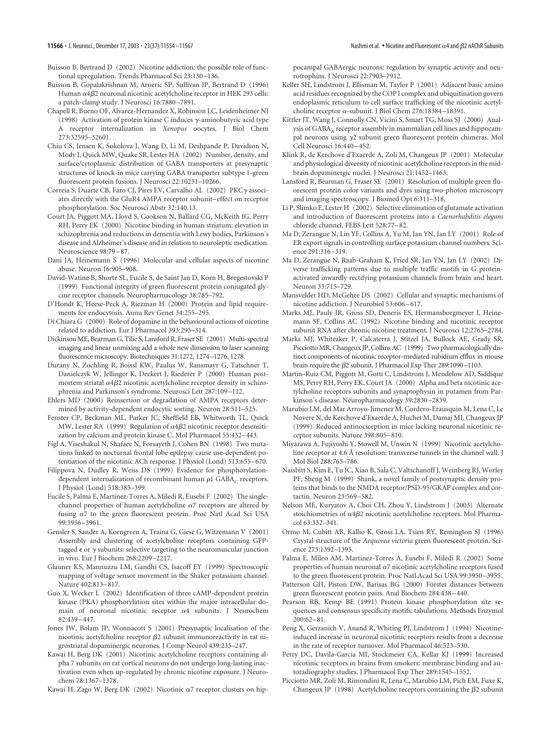- Buisson B, Bertrand D (2002) Nicotine addiction: the possible role of functional upregulation. Trends Pharmacol Sci 23:130–136.
- Buisson B, Gopalakrishnan M, Arneric SP, Sullivan JP, Bertrand D (1996) Human  $\alpha$ 4 $\beta$ 2 neuronal nicotinic acetylcholine receptor in HEK 293 cells: a patch-clamp study. J Neurosci 16:7880–7891.
- Chapell R, Bueno OF, Alvarez-Hernandez X, Robinson LC, Leidenheimer NJ (1998) Activation of protein kinase C induces  $\gamma$ -aminobutyric acid type A receptor internalization in *Xenopus* oocytes. J Biol Chem 273:32595–32601.
- Chiu CS, Jensen K, Sokolova I, Wang D, Li M, Deshpande P, Davidson N, Mody I, Quick MW, Quake SR, Lester HA (2002) Number, density, and surface/cytoplasmic distribution of GABA transporters at presynaptic structures of knock-in mice carrying GABA transporter subtype 1-green fluorescent protein fusions. J Neurosci 22:10251–10266.
- Correia S, Duarte CB, Faro CJ, Pires EV, Carvalho AL (2002) PKC $\gamma$  associates directly with the GluR4 AMPA receptor subunit–effect on receptor phosphorylation. Soc Neurosci Abstr 32:140.13.
- Court JA, Piggott MA, Lloyd S, Cookson N, Ballard CG, McKeith IG, Perry RH, Perry EK (2000) Nicotine binding in human striatum: elevation in schizophrenia and reductions in dementia with Lewy bodies, Parkinson's disease and Alzheimer's disease and in relation to neuroleptic medication. Neuroscience 98:79–87.
- Dani JA, Heinemann S (1996) Molecular and cellular aspects of nicotine abuse. Neuron 16:905–908.
- David-Watine B, Shorte SL, Fucile S, de Saint Jan D, Korn H, Bregestovski P (1999) Functional integrity of green fluorescent protein conjugated glycine receptor channels. Neuropharmacology 38:785–792.
- D'Hondt K, Heese-Peck A, Riezman H (2000) Protein and lipid requirements for endocytosis. Annu Rev Genet 34:255–295.
- Di Chiara G (2000) Role of dopamine in the behavioural actions of nicotine related to addiction. Eur J Pharmacol 393:295–314.
- Dickinson ME, Bearman G, Tilie S, Lansford R, Fraser SE (2001) Multi-spectral imaging and linear unmixing add a whole new dimension to laser scanning fluorescence microscopy. Biotechniques 31:1272, 1274–1276, 1278.
- Durany N, Zochling R, Boissl KW, Paulus W, Ransmayr G, Tatschner T, Danielczyk W, Jellinger K, Deckert J, Riederer P (2000) Human postmortem striatal  $\alpha$ 4 $\beta$ 2 nicotinic acetylcholine receptor density in schizophrenia and Parkinson's syndrome. Neurosci Lett 287:109–112.
- Ehlers MD (2000) Reinsertion or degradation of AMPA receptors determined by activity-dependent endocytic sorting. Neuron 28:511–525.
- Fenster CP, Beckman ML, Parker JC, Sheffield EB, Whitworth TL, Quick MW, Lester RA  $(1999)$  Regulation of  $\alpha 4\beta 2$  nicotinic receptor desensitization by calcium and protein kinase C. Mol Pharmacol 55:432–443.
- Figl A, Viseshakul N, Shafaee N, Forsayeth J, Cohen BN (1998) Two mutations linked to nocturnal frontal lobe epilepsy cause use-dependent potentiation of the nicotinic ACh response. J Physiol (Lond) 513:655–670.
- Filippova N, Dudley R, Weiss DS (1999) Evidence for phosphorylationdependent internalization of recombinant human  $\rho$ 1 GABA<sub>C</sub> receptors. J Physiol (Lond) 518:385–399.
- Fucile S, Palma E, Martinez-Torres A, Miledi R, Eusebi F (2002) The singlechannel properties of human acetylcholine  $\alpha$ 7 receptors are altered by fusing  $\alpha$ 7 to the green fluorescent protein. Proc Natl Acad Sci USA 99:3956–3961.
- Gensler S, Sander A, Korngreen A, Traina G, Giese G, Witzemann V (2001) Assembly and clustering of acetylcholine receptors containing GFPtagged  $\epsilon$  or  $\gamma$  subunits: selective targeting to the neuromuscular junction in vivo. Eur J Biochem 268:2209–2217.
- Glauner KS, Mannuzzu LM, Gandhi CS, Isacoff EY (1999) Spectroscopic mapping of voltage sensor movement in the Shaker potassium channel. Nature 402:813–817.
- Guo X, Wecker L (2002) Identification of three cAMP-dependent protein kinase (PKA) phosphorylation sites within the major intracellular domain of neuronal nicotinic receptor  $\alpha$ 4 subunits. J Neurochem 82:439–447.
- Jones IW, Bolam JP, Wonnacott S (2001) Presynaptic localisation of the nicotinic acetylcholine receptor β2 subunit immunoreactivity in rat nigrostriatal dopaminergic neurones. J Comp Neurol 439:235–247.
- Kawai H, Berg DK (2001) Nicotinic acetylcholine receptors containing alpha 7 subunits on rat cortical neurons do not undergo long-lasting inactivation even when up-regulated by chronic nicotine exposure. J Neurochem 78:1367–1378.
- Kawai H, Zago W, Berg DK (2002) Nicotinic  $\alpha$ 7 receptor clusters on hip-

pocampal GABAergic neurons: regulation by synaptic activity and neurotrophins. J Neurosci 22:7903–7912.

- Keller SH, Lindstrom J, Ellisman M, Taylor P (2001) Adjacent basic amino acid residues recognized by the COP I complex and ubiquitination govern endoplasmic reticulum to cell surface trafficking of the nicotinic acetylcholine receptor  $\alpha$ -subunit. J Biol Chem 276:18384-18391.
- Kittler JT, Wang J, Connolly CN, Vicini S, Smart TG, Moss SJ (2000) Analysis of GABA<sub>A</sub> receptor assembly in mammalian cell lines and hippocampal neurons using  $\gamma$ 2 subunit green fluorescent protein chimeras. Mol Cell Neurosci 16:440–452.
- Klink R, de Kerchove d'Exaerde A, Zoli M, Changeux JP (2001) Molecular and physiological diversity of nicotinic acetylcholine receptors in the midbrain dopaminergic nuclei. J Neurosci 21:1452–1463.
- Lansford R, Bearman G, Fraser SE (2001) Resolution of multiple green fluorescent protein color variants and dyes using two-photon microscopy and imaging spectroscopy. J Biomed Opt 6:311–318.
- Li P, Slimko E, Lester H (2002) Selective elimination of glutamate activation and introduction of fluorescent proteins into a *Caenorhabditis elegans* chloride channel. FEBS Lett 528:77–82.
- Ma D, Zerangue N, Lin YF, Collins A, Yu M, Jan YN, Jan LY (2001) Role of ER export signals in controlling surface potassium channel numbers. Science 291:316–319.
- Ma D, Zerangue N, Raab-Graham K, Fried SR, Jan YN, Jan LY (2002) Diverse trafficking patterns due to multiple traffic motifs in G proteinactivated inwardly rectifying potassium channels from brain and heart. Neuron 33:715–729.
- Mansvelder HD, McGehee DS (2002) Cellular and synaptic mechanisms of nicotine addiction. J Neurobiol 53:606–617.
- Marks MJ, Pauly JR, Gross SD, Deneris ES, Hermansborgmeyer I, Heinemann SF, Collins AC (1992) Nicotine binding and nicotinic receptor subunit RNA after chronic nicotine treatment. J Neurosci 12:2765–2784.
- Marks MJ, Whiteaker P, Calcaterra J, Stitzel JA, Bullock AE, Grady SR, Picciotto MR, Changeux JP, Collins AC (1999) Two pharmacologically distinct components of nicotinic receptor-mediated rubidium efflux in mouse brain require the  $\beta$ 2 subunit. J Pharmacol Exp Ther 289:1090 $-$ 1103.
- Martin-Ruiz CM, Piggott M, Gotti C, Lindstrom J, Mendelow AD, Siddique MS, Perry RH, Perry EK, Court JA (2000) Alpha and beta nicotinic acetylcholine receptors subunits and synaptophysin in putamen from Parkinson's disease. Neuropharmacology 39:2830–2839.
- Marubio LM, del Mar Arroyo-Jimenez M, Cordero-Erausquin M, Lena C, Le Novere N, de Kerchove d'Exaerde A, Huchet M, Damaj MI, Changeux JP (1999) Reduced antinociception in mice lacking neuronal nicotinic receptor subunits. Nature 398:805–810.
- Miyazawa A, Fujiyoshi Y, Stowell M, Unwin N (1999) Nicotinic acetylcholine receptor at 4.6 Å resolution: transverse tunnels in the channel wall. J Mol Biol 288:765–786.
- Naisbitt S, Kim E, Tu JC, Xiao B, Sala C, Valtschanoff J, Weinberg RJ, Worley PF, Sheng M (1999) Shank, a novel family of postsynaptic density proteins that binds to the NMDA receptor/PSD-95/GKAP complex and cortactin. Neuron 23:569–582.
- Nelson ME, Kuryatov A, Choi CH, Zhou Y, Lindstrom J (2003) Alternate stoichiometries of  $\alpha$ 4 $\beta$ 2 nicotinic acetylcholine receptors. Mol Pharmacol 63:332–341.
- Ormo M, Cubitt AB, Kallio K, Gross LA, Tsien RY, Remington SJ (1996) Crystal structure of the *Aequorea victoria* green fluorescent protein. Science 273:1392–1395.
- Palma E, Mileo AM, Martinez-Torres A, Eusebi F, Miledi R (2002) Some properties of human neuronal  $\alpha$ 7 nicotinic acetylcholine receptors fused to the green fluorescent protein. Proc Natl Acad Sci USA 99:3950–3955.
- Patterson GH, Piston DW, Barisas BG (2000) Förster distances between green fluorescent protein pairs. Anal Biochem 284:438–440.
- Pearson RB, Kemp BE (1991) Protein kinase phosphorylation site sequences and consensus specificity motifs: tabulations. Methods Enzymol  $200:62 - 81$ .
- Peng X, Gerzanich V, Anand R, Whiting PJ, Lindstrom J (1994) Nicotineinduced increase in neuronal nicotinic receptors results from a decrease in the rate of receptor turnover. Mol Pharmacol 46:523–530.
- Perry DC, Davila-Garcia MI, Stockmeier CA, Kellar KJ (1999) Increased nicotinic receptors in brains from smokers: membrane binding and autoradiography studies. J Pharmacol Exp Ther 289:1545–1552.
- Picciotto MR, Zoli M, Rimondini R, Lena C, Marubio LM, Pich EM, Fuxe K, Changeux JP  $(1998)$  Acetylcholine receptors containing the  $\beta$ 2 subunit